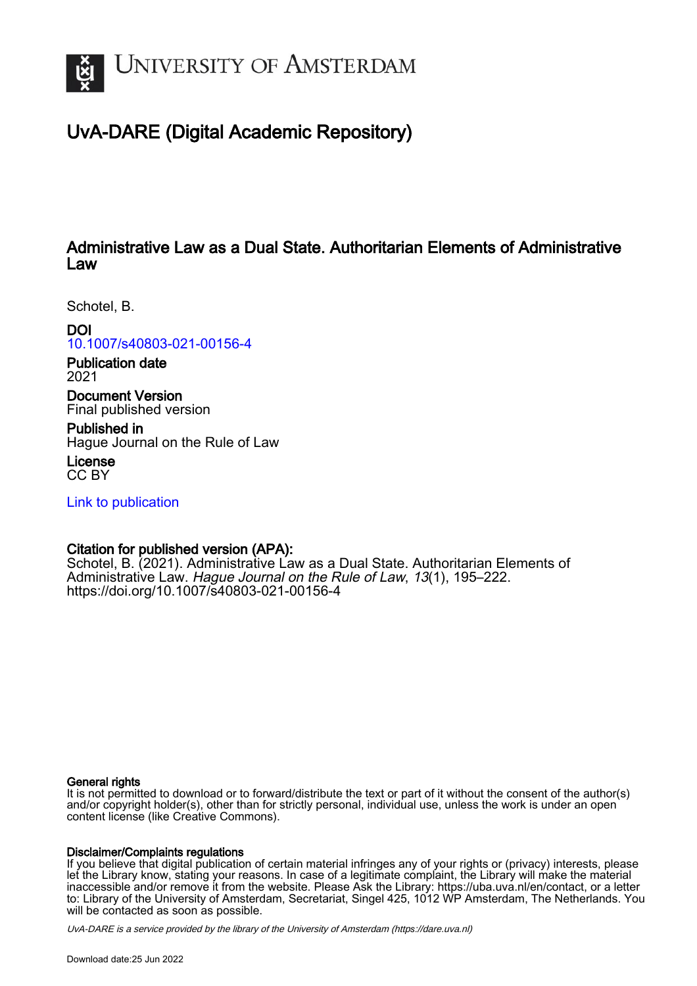

# UvA-DARE (Digital Academic Repository)

## Administrative Law as a Dual State. Authoritarian Elements of Administrative Law

Schotel, B.

DOI

[10.1007/s40803-021-00156-4](https://doi.org/10.1007/s40803-021-00156-4)

Publication date 2021

Document Version Final published version

Published in Hague Journal on the Rule of Law

License CC BY

[Link to publication](https://dare.uva.nl/personal/pure/en/publications/administrative-law-as-a-dual-state-authoritarian-elements-of-administrative-law(b51be874-c74f-48f6-8adc-70e9ba731e83).html)

## Citation for published version (APA):

Schotel, B. (2021). Administrative Law as a Dual State. Authoritarian Elements of Administrative Law. Hague Journal on the Rule of Law, 13(1), 195–222. <https://doi.org/10.1007/s40803-021-00156-4>

## General rights

It is not permitted to download or to forward/distribute the text or part of it without the consent of the author(s) and/or copyright holder(s), other than for strictly personal, individual use, unless the work is under an open content license (like Creative Commons).

## Disclaimer/Complaints regulations

If you believe that digital publication of certain material infringes any of your rights or (privacy) interests, please let the Library know, stating your reasons. In case of a legitimate complaint, the Library will make the material inaccessible and/or remove it from the website. Please Ask the Library: https://uba.uva.nl/en/contact, or a letter to: Library of the University of Amsterdam, Secretariat, Singel 425, 1012 WP Amsterdam, The Netherlands. You will be contacted as soon as possible.

UvA-DARE is a service provided by the library of the University of Amsterdam (http*s*://dare.uva.nl)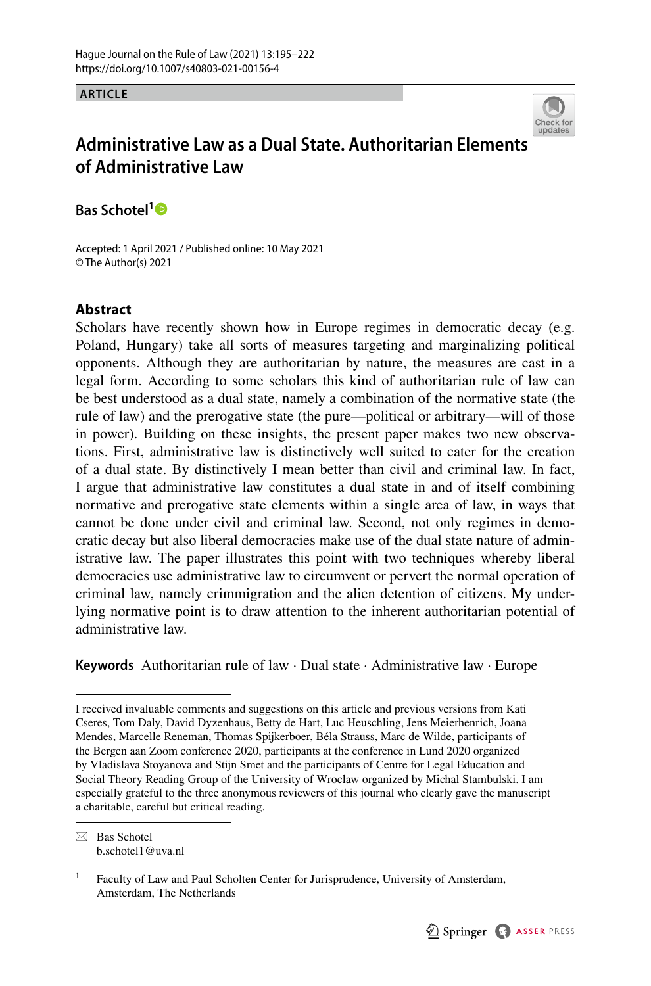**ARTICLE**



## **Administrative Law as a Dual State. Authoritarian Elements of Administrative Law**

**Bas Schotel[1](http://orcid.org/0000-0002-9203-1001)**

Accepted: 1 April 2021 / Published online: 10 May 2021 © The Author(s) 2021

## **Abstract**

Scholars have recently shown how in Europe regimes in democratic decay (e.g. Poland, Hungary) take all sorts of measures targeting and marginalizing political opponents. Although they are authoritarian by nature, the measures are cast in a legal form. According to some scholars this kind of authoritarian rule of law can be best understood as a dual state, namely a combination of the normative state (the rule of law) and the prerogative state (the pure—political or arbitrary—will of those in power). Building on these insights, the present paper makes two new observations. First, administrative law is distinctively well suited to cater for the creation of a dual state. By distinctively I mean better than civil and criminal law. In fact, I argue that administrative law constitutes a dual state in and of itself combining normative and prerogative state elements within a single area of law, in ways that cannot be done under civil and criminal law. Second, not only regimes in democratic decay but also liberal democracies make use of the dual state nature of administrative law. The paper illustrates this point with two techniques whereby liberal democracies use administrative law to circumvent or pervert the normal operation of criminal law, namely crimmigration and the alien detention of citizens. My underlying normative point is to draw attention to the inherent authoritarian potential of administrative law.

**Keywords** Authoritarian rule of law · Dual state · Administrative law · Europe

 $\boxtimes$  Bas Schotel b.schotel1@uva.nl

I received invaluable comments and suggestions on this article and previous versions from Kati Cseres, Tom Daly, David Dyzenhaus, Betty de Hart, Luc Heuschling, Jens Meierhenrich, Joana Mendes, Marcelle Reneman, Thomas Spijkerboer, Béla Strauss, Marc de Wilde, participants of the Bergen aan Zoom conference 2020, participants at the conference in Lund 2020 organized by Vladislava Stoyanova and Stijn Smet and the participants of Centre for Legal Education and Social Theory Reading Group of the University of Wroclaw organized by Michal Stambulski. I am especially grateful to the three anonymous reviewers of this journal who clearly gave the manuscript a charitable, careful but critical reading.

<sup>&</sup>lt;sup>1</sup> Faculty of Law and Paul Scholten Center for Jurisprudence, University of Amsterdam, Amsterdam, The Netherlands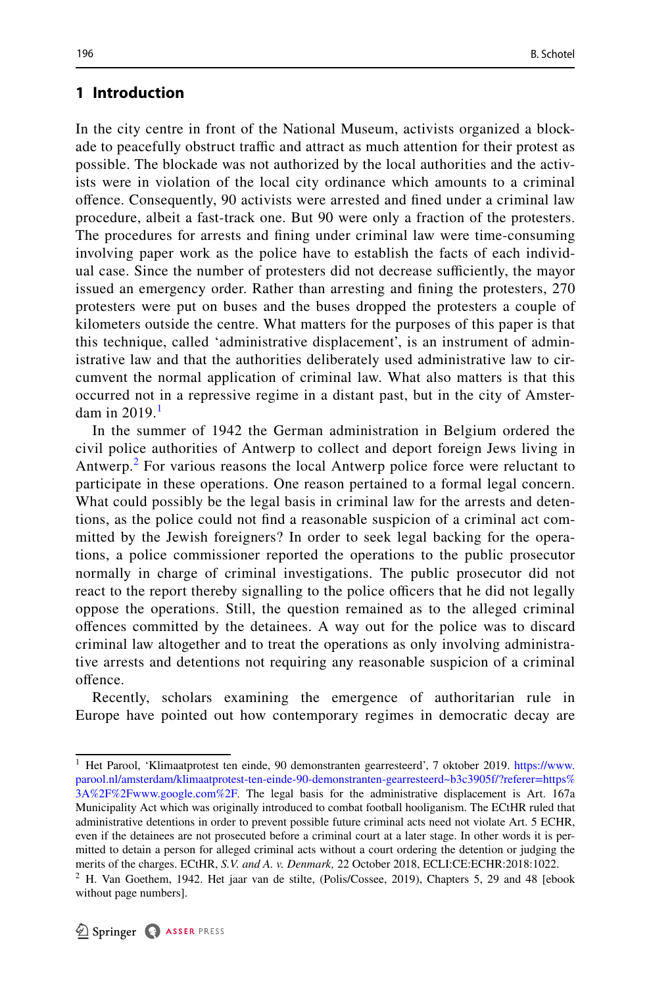## **1 Introduction**

In the city centre in front of the National Museum, activists organized a blockade to peacefully obstruct traffic and attract as much attention for their protest as possible. The blockade was not authorized by the local authorities and the activists were in violation of the local city ordinance which amounts to a criminal ofence. Consequently, 90 activists were arrested and fned under a criminal law procedure, albeit a fast-track one. But 90 were only a fraction of the protesters. The procedures for arrests and fning under criminal law were time-consuming involving paper work as the police have to establish the facts of each individual case. Since the number of protesters did not decrease sufciently, the mayor issued an emergency order. Rather than arresting and fning the protesters, 270 protesters were put on buses and the buses dropped the protesters a couple of kilometers outside the centre. What matters for the purposes of this paper is that this technique, called 'administrative displacement', is an instrument of administrative law and that the authorities deliberately used administrative law to circumvent the normal application of criminal law. What also matters is that this occurred not in a repressive regime in a distant past, but in the city of Amsterdam in  $2019<sup>1</sup>$  $2019<sup>1</sup>$  $2019<sup>1</sup>$ 

In the summer of 1942 the German administration in Belgium ordered the civil police authorities of Antwerp to collect and deport foreign Jews living in Antwerp.<sup>[2](#page-2-1)</sup> For various reasons the local Antwerp police force were reluctant to participate in these operations. One reason pertained to a formal legal concern. What could possibly be the legal basis in criminal law for the arrests and detentions, as the police could not fnd a reasonable suspicion of a criminal act committed by the Jewish foreigners? In order to seek legal backing for the operations, a police commissioner reported the operations to the public prosecutor normally in charge of criminal investigations. The public prosecutor did not react to the report thereby signalling to the police officers that he did not legally oppose the operations. Still, the question remained as to the alleged criminal ofences committed by the detainees. A way out for the police was to discard criminal law altogether and to treat the operations as only involving administrative arrests and detentions not requiring any reasonable suspicion of a criminal offence.

Recently, scholars examining the emergence of authoritarian rule in Europe have pointed out how contemporary regimes in democratic decay are

<span id="page-2-0"></span><sup>&</sup>lt;sup>1</sup> Het Parool, 'Klimaatprotest ten einde, 90 demonstranten gearresteerd', 7 oktober 2019. [https://www.](https://www.parool.nl/amsterdam/klimaatprotest-ten-einde-90-demonstranten-gearresteerd~b3c3905f/?referer=https%3A%2F%2Fwww.google.com%2F) [parool.nl/amsterdam/klimaatprotest-ten-einde-90-demonstranten-gearresteerd~b3c3905f/?referer=https%](https://www.parool.nl/amsterdam/klimaatprotest-ten-einde-90-demonstranten-gearresteerd~b3c3905f/?referer=https%3A%2F%2Fwww.google.com%2F) [3A%2F%2Fwww.google.com%2F](https://www.parool.nl/amsterdam/klimaatprotest-ten-einde-90-demonstranten-gearresteerd~b3c3905f/?referer=https%3A%2F%2Fwww.google.com%2F). The legal basis for the administrative displacement is Art. 167a Municipality Act which was originally introduced to combat football hooliganism. The ECtHR ruled that administrative detentions in order to prevent possible future criminal acts need not violate Art. 5 ECHR, even if the detainees are not prosecuted before a criminal court at a later stage. In other words it is permitted to detain a person for alleged criminal acts without a court ordering the detention or judging the merits of the charges. ECtHR, *S.V. and A. v. Denmark,* 22 October 2018, ECLI:CE:ECHR:2018:1022.

<span id="page-2-1"></span> $2$  H. Van Goethem, 1942. Het jaar van de stilte, (Polis/Cossee, 2019), Chapters 5, 29 and 48 [ebook without page numbers].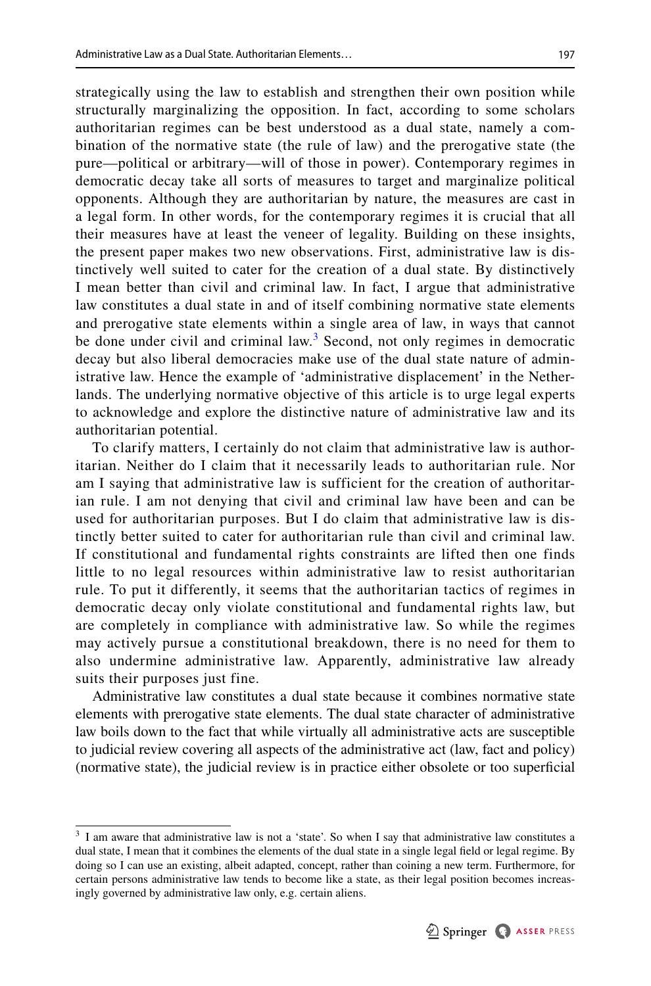strategically using the law to establish and strengthen their own position while structurally marginalizing the opposition. In fact, according to some scholars authoritarian regimes can be best understood as a dual state, namely a combination of the normative state (the rule of law) and the prerogative state (the pure—political or arbitrary—will of those in power). Contemporary regimes in democratic decay take all sorts of measures to target and marginalize political opponents. Although they are authoritarian by nature, the measures are cast in a legal form. In other words, for the contemporary regimes it is crucial that all their measures have at least the veneer of legality. Building on these insights, the present paper makes two new observations. First, administrative law is distinctively well suited to cater for the creation of a dual state. By distinctively I mean better than civil and criminal law. In fact, I argue that administrative law constitutes a dual state in and of itself combining normative state elements and prerogative state elements within a single area of law, in ways that cannot be done under civil and criminal law.<sup>[3](#page-3-0)</sup> Second, not only regimes in democratic decay but also liberal democracies make use of the dual state nature of administrative law. Hence the example of 'administrative displacement' in the Netherlands. The underlying normative objective of this article is to urge legal experts to acknowledge and explore the distinctive nature of administrative law and its authoritarian potential.

To clarify matters, I certainly do not claim that administrative law is authoritarian. Neither do I claim that it necessarily leads to authoritarian rule. Nor am I saying that administrative law is sufficient for the creation of authoritarian rule. I am not denying that civil and criminal law have been and can be used for authoritarian purposes. But I do claim that administrative law is distinctly better suited to cater for authoritarian rule than civil and criminal law. If constitutional and fundamental rights constraints are lifted then one finds little to no legal resources within administrative law to resist authoritarian rule. To put it differently, it seems that the authoritarian tactics of regimes in democratic decay only violate constitutional and fundamental rights law, but are completely in compliance with administrative law. So while the regimes may actively pursue a constitutional breakdown, there is no need for them to also undermine administrative law. Apparently, administrative law already suits their purposes just fine.

Administrative law constitutes a dual state because it combines normative state elements with prerogative state elements. The dual state character of administrative law boils down to the fact that while virtually all administrative acts are susceptible to judicial review covering all aspects of the administrative act (law, fact and policy) (normative state), the judicial review is in practice either obsolete or too superfcial

<span id="page-3-0"></span><sup>&</sup>lt;sup>3</sup> I am aware that administrative law is not a 'state'. So when I say that administrative law constitutes a dual state, I mean that it combines the elements of the dual state in a single legal feld or legal regime. By doing so I can use an existing, albeit adapted, concept, rather than coining a new term. Furthermore, for certain persons administrative law tends to become like a state, as their legal position becomes increasingly governed by administrative law only, e.g. certain aliens.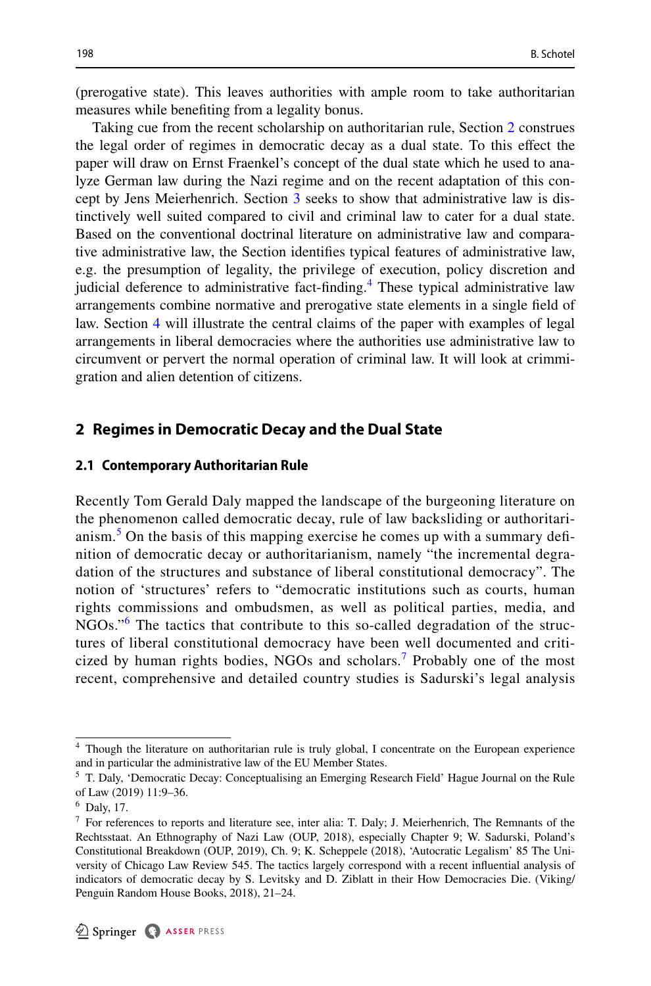(prerogative state). This leaves authorities with ample room to take authoritarian measures while benefting from a legality bonus.

Taking cue from the recent scholarship on authoritarian rule, Section [2](#page-4-0) construes the legal order of regimes in democratic decay as a dual state. To this efect the paper will draw on Ernst Fraenkel's concept of the dual state which he used to analyze German law during the Nazi regime and on the recent adaptation of this concept by Jens Meierhenrich. Section [3](#page-9-0) seeks to show that administrative law is distinctively well suited compared to civil and criminal law to cater for a dual state. Based on the conventional doctrinal literature on administrative law and comparative administrative law, the Section identifes typical features of administrative law, e.g. the presumption of legality, the privilege of execution, policy discretion and judicial deference to administrative fact-finding.<sup>[4](#page-4-1)</sup> These typical administrative law arrangements combine normative and prerogative state elements in a single feld of law. Section [4](#page-22-0) will illustrate the central claims of the paper with examples of legal arrangements in liberal democracies where the authorities use administrative law to circumvent or pervert the normal operation of criminal law. It will look at crimmigration and alien detention of citizens.

## <span id="page-4-0"></span>**2 Regimes in Democratic Decay and the Dual State**

#### **2.1 Contemporary Authoritarian Rule**

Recently Tom Gerald Daly mapped the landscape of the burgeoning literature on the phenomenon called democratic decay, rule of law backsliding or authoritari-anism.<sup>[5](#page-4-2)</sup> On the basis of this mapping exercise he comes up with a summary definition of democratic decay or authoritarianism, namely "the incremental degradation of the structures and substance of liberal constitutional democracy". The notion of 'structures' refers to "democratic institutions such as courts, human rights commissions and ombudsmen, as well as political parties, media, and NGOs."<sup>[6](#page-4-3)</sup> The tactics that contribute to this so-called degradation of the structures of liberal constitutional democracy have been well documented and criticized by human rights bodies, NGOs and scholars.[7](#page-4-4) Probably one of the most recent, comprehensive and detailed country studies is Sadurski's legal analysis

<span id="page-4-1"></span><sup>4</sup> Though the literature on authoritarian rule is truly global, I concentrate on the European experience and in particular the administrative law of the EU Member States.

<span id="page-4-2"></span><sup>5</sup> T. Daly, 'Democratic Decay: Conceptualising an Emerging Research Field' Hague Journal on the Rule of Law (2019) 11:9–36.

<span id="page-4-3"></span><sup>6</sup> Daly, 17.

<span id="page-4-4"></span><sup>7</sup> For references to reports and literature see, inter alia: T. Daly; J. Meierhenrich, The Remnants of the Rechtsstaat. An Ethnography of Nazi Law (OUP, 2018), especially Chapter 9; W. Sadurski, Poland's Constitutional Breakdown (OUP, 2019), Ch. 9; K. Scheppele (2018), 'Autocratic Legalism' 85 The University of Chicago Law Review 545. The tactics largely correspond with a recent infuential analysis of indicators of democratic decay by S. Levitsky and D. Ziblatt in their How Democracies Die. (Viking/ Penguin Random House Books, 2018), 21–24.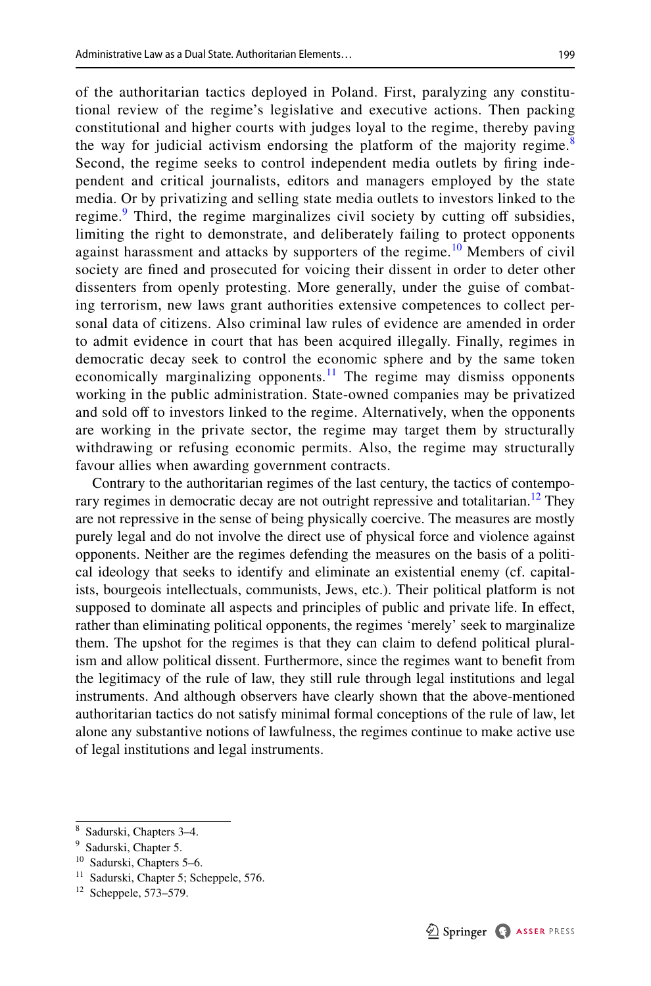of the authoritarian tactics deployed in Poland. First, paralyzing any constitutional review of the regime's legislative and executive actions. Then packing constitutional and higher courts with judges loyal to the regime, thereby paving the way for judicial activism endorsing the platform of the majority regime.<sup>[8](#page-5-0)</sup> Second, the regime seeks to control independent media outlets by fring independent and critical journalists, editors and managers employed by the state media. Or by privatizing and selling state media outlets to investors linked to the regime.<sup>[9](#page-5-1)</sup> Third, the regime marginalizes civil society by cutting off subsidies, limiting the right to demonstrate, and deliberately failing to protect opponents against harassment and attacks by supporters of the regime.<sup>[10](#page-5-2)</sup> Members of civil society are fned and prosecuted for voicing their dissent in order to deter other dissenters from openly protesting. More generally, under the guise of combating terrorism, new laws grant authorities extensive competences to collect personal data of citizens. Also criminal law rules of evidence are amended in order to admit evidence in court that has been acquired illegally. Finally, regimes in democratic decay seek to control the economic sphere and by the same token economically marginalizing opponents.<sup>11</sup> The regime may dismiss opponents working in the public administration. State-owned companies may be privatized and sold off to investors linked to the regime. Alternatively, when the opponents are working in the private sector, the regime may target them by structurally withdrawing or refusing economic permits. Also, the regime may structurally favour allies when awarding government contracts.

Contrary to the authoritarian regimes of the last century, the tactics of contemporary regimes in democratic decay are not outright repressive and totalitarian.<sup>12</sup> They are not repressive in the sense of being physically coercive. The measures are mostly purely legal and do not involve the direct use of physical force and violence against opponents. Neither are the regimes defending the measures on the basis of a political ideology that seeks to identify and eliminate an existential enemy (cf. capitalists, bourgeois intellectuals, communists, Jews, etc.). Their political platform is not supposed to dominate all aspects and principles of public and private life. In efect, rather than eliminating political opponents, the regimes 'merely' seek to marginalize them. The upshot for the regimes is that they can claim to defend political pluralism and allow political dissent. Furthermore, since the regimes want to beneft from the legitimacy of the rule of law, they still rule through legal institutions and legal instruments. And although observers have clearly shown that the above-mentioned authoritarian tactics do not satisfy minimal formal conceptions of the rule of law, let alone any substantive notions of lawfulness, the regimes continue to make active use of legal institutions and legal instruments.

<span id="page-5-0"></span><sup>8</sup> Sadurski, Chapters 3–4.

<span id="page-5-1"></span><sup>9</sup> Sadurski, Chapter 5.

<span id="page-5-2"></span><sup>10</sup> Sadurski, Chapters 5–6.

<span id="page-5-3"></span><sup>&</sup>lt;sup>11</sup> Sadurski, Chapter 5; Scheppele, 576.

<span id="page-5-4"></span><sup>12</sup> Scheppele, 573–579.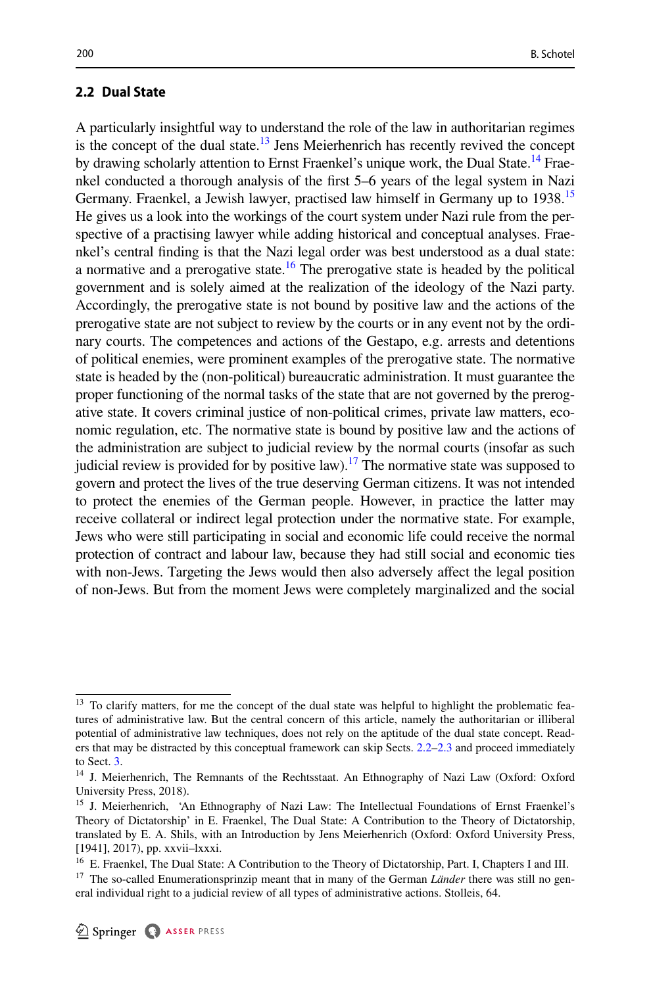## <span id="page-6-5"></span>**2.2 Dual State**

A particularly insightful way to understand the role of the law in authoritarian regimes is the concept of the dual state.<sup>13</sup> Jens Meierhenrich has recently revived the concept by drawing scholarly attention to Ernst Fraenkel's unique work, the Dual State.<sup>14</sup> Fraenkel conducted a thorough analysis of the frst 5–6 years of the legal system in Nazi Germany. Fraenkel, a Jewish lawyer, practised law himself in Germany up to 1938.<sup>15</sup> He gives us a look into the workings of the court system under Nazi rule from the perspective of a practising lawyer while adding historical and conceptual analyses. Fraenkel's central fnding is that the Nazi legal order was best understood as a dual state: a normative and a prerogative state.<sup>16</sup> The prerogative state is headed by the political government and is solely aimed at the realization of the ideology of the Nazi party. Accordingly, the prerogative state is not bound by positive law and the actions of the prerogative state are not subject to review by the courts or in any event not by the ordinary courts. The competences and actions of the Gestapo, e.g. arrests and detentions of political enemies, were prominent examples of the prerogative state. The normative state is headed by the (non-political) bureaucratic administration. It must guarantee the proper functioning of the normal tasks of the state that are not governed by the prerogative state. It covers criminal justice of non-political crimes, private law matters, economic regulation, etc. The normative state is bound by positive law and the actions of the administration are subject to judicial review by the normal courts (insofar as such judicial review is provided for by positive law).<sup>17</sup> The normative state was supposed to govern and protect the lives of the true deserving German citizens. It was not intended to protect the enemies of the German people. However, in practice the latter may receive collateral or indirect legal protection under the normative state. For example, Jews who were still participating in social and economic life could receive the normal protection of contract and labour law, because they had still social and economic ties with non-Jews. Targeting the Jews would then also adversely afect the legal position of non-Jews. But from the moment Jews were completely marginalized and the social

<span id="page-6-0"></span><sup>&</sup>lt;sup>13</sup> To clarify matters, for me the concept of the dual state was helpful to highlight the problematic features of administrative law. But the central concern of this article, namely the authoritarian or illiberal potential of administrative law techniques, does not rely on the aptitude of the dual state concept. Readers that may be distracted by this conceptual framework can skip Sects. [2.2](#page-6-5)[–2.3](#page-8-0) and proceed immediately to Sect. [3](#page-9-0).

<span id="page-6-1"></span><sup>&</sup>lt;sup>14</sup> J. Meierhenrich, The Remnants of the Rechtsstaat. An Ethnography of Nazi Law (Oxford: Oxford University Press, 2018).

<span id="page-6-2"></span><sup>&</sup>lt;sup>15</sup> J. Meierhenrich, 'An Ethnography of Nazi Law: The Intellectual Foundations of Ernst Fraenkel's Theory of Dictatorship' in E. Fraenkel, The Dual State: A Contribution to the Theory of Dictatorship, translated by E. A. Shils, with an Introduction by Jens Meierhenrich (Oxford: Oxford University Press, [1941], 2017), pp. xxvii–lxxxi.

<span id="page-6-3"></span><sup>&</sup>lt;sup>16</sup> E. Fraenkel, The Dual State: A Contribution to the Theory of Dictatorship, Part. I, Chapters I and III.

<span id="page-6-4"></span><sup>&</sup>lt;sup>17</sup> The so-called Enumerationsprinzip meant that in many of the German *Länder* there was still no general individual right to a judicial review of all types of administrative actions. Stolleis, 64.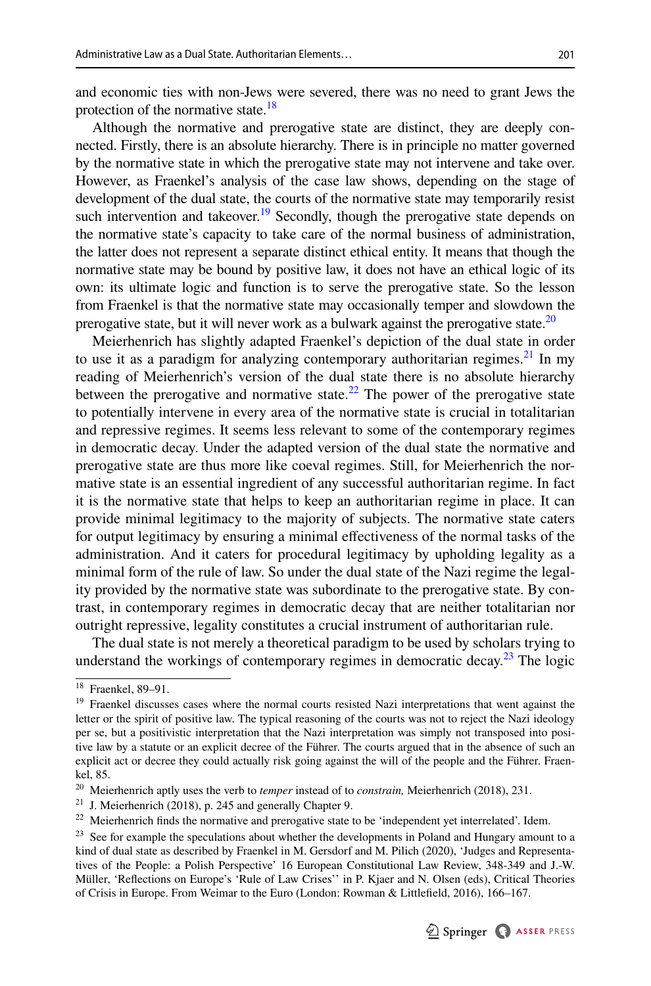and economic ties with non-Jews were severed, there was no need to grant Jews the protection of the normative state.<sup>18</sup>

Although the normative and prerogative state are distinct, they are deeply connected. Firstly, there is an absolute hierarchy. There is in principle no matter governed by the normative state in which the prerogative state may not intervene and take over. However, as Fraenkel's analysis of the case law shows, depending on the stage of development of the dual state, the courts of the normative state may temporarily resist such intervention and takeover.<sup>19</sup> Secondly, though the prerogative state depends on the normative state's capacity to take care of the normal business of administration, the latter does not represent a separate distinct ethical entity. It means that though the normative state may be bound by positive law, it does not have an ethical logic of its own: its ultimate logic and function is to serve the prerogative state. So the lesson from Fraenkel is that the normative state may occasionally temper and slowdown the prerogative state, but it will never work as a bulwark against the prerogative state.<sup>20</sup>

Meierhenrich has slightly adapted Fraenkel's depiction of the dual state in order to use it as a paradigm for analyzing contemporary authoritarian regimes.<sup>21</sup> In my reading of Meierhenrich's version of the dual state there is no absolute hierarchy between the prerogative and normative state.<sup>[22](#page-7-4)</sup> The power of the prerogative state to potentially intervene in every area of the normative state is crucial in totalitarian and repressive regimes. It seems less relevant to some of the contemporary regimes in democratic decay. Under the adapted version of the dual state the normative and prerogative state are thus more like coeval regimes. Still, for Meierhenrich the normative state is an essential ingredient of any successful authoritarian regime. In fact it is the normative state that helps to keep an authoritarian regime in place. It can provide minimal legitimacy to the majority of subjects. The normative state caters for output legitimacy by ensuring a minimal efectiveness of the normal tasks of the administration. And it caters for procedural legitimacy by upholding legality as a minimal form of the rule of law. So under the dual state of the Nazi regime the legality provided by the normative state was subordinate to the prerogative state. By contrast, in contemporary regimes in democratic decay that are neither totalitarian nor outright repressive, legality constitutes a crucial instrument of authoritarian rule.

The dual state is not merely a theoretical paradigm to be used by scholars trying to understand the workings of contemporary regimes in democratic decay.<sup>23</sup> The logic

<span id="page-7-0"></span><sup>18</sup> Fraenkel, 89–91.

<span id="page-7-1"></span><sup>&</sup>lt;sup>19</sup> Fraenkel discusses cases where the normal courts resisted Nazi interpretations that went against the letter or the spirit of positive law. The typical reasoning of the courts was not to reject the Nazi ideology per se, but a positivistic interpretation that the Nazi interpretation was simply not transposed into positive law by a statute or an explicit decree of the Führer. The courts argued that in the absence of such an explicit act or decree they could actually risk going against the will of the people and the Führer. Fraenkel, 85.

<span id="page-7-2"></span><sup>20</sup> Meierhenrich aptly uses the verb to *temper* instead of to *constrain,* Meierhenrich (2018), 231.

<span id="page-7-3"></span> $21$  J. Meierhenrich (2018), p. 245 and generally Chapter 9.

<span id="page-7-4"></span><sup>&</sup>lt;sup>22</sup> Meierhenrich finds the normative and prerogative state to be 'independent yet interrelated'. Idem.

<span id="page-7-5"></span><sup>&</sup>lt;sup>23</sup> See for example the speculations about whether the developments in Poland and Hungary amount to a kind of dual state as described by Fraenkel in M. Gersdorf and M. Pilich (2020), 'Judges and Representatives of the People: a Polish Perspective' 16 European Constitutional Law Review, 348-349 and J.-W. Müller, 'Refections on Europe's 'Rule of Law Crises'' in P. Kjaer and N. Olsen (eds), Critical Theories of Crisis in Europe. From Weimar to the Euro (London: Rowman & Littlefeld, 2016), 166–167.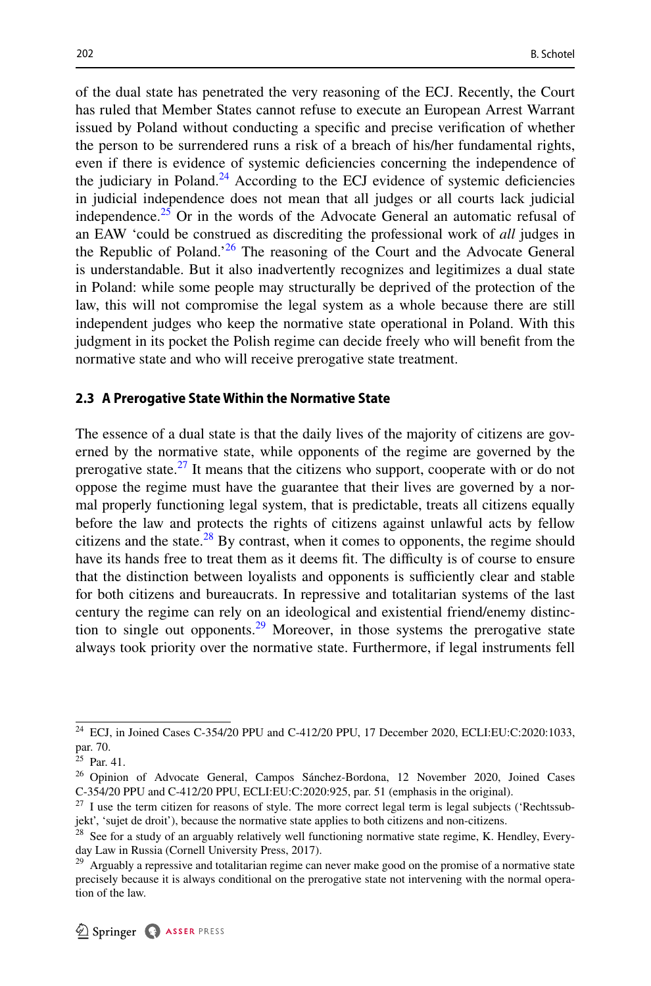of the dual state has penetrated the very reasoning of the ECJ. Recently, the Court has ruled that Member States cannot refuse to execute an European Arrest Warrant issued by Poland without conducting a specifc and precise verifcation of whether the person to be surrendered runs a risk of a breach of his/her fundamental rights, even if there is evidence of systemic defciencies concerning the independence of the judiciary in Poland.<sup>24</sup> According to the ECJ evidence of systemic deficiencies in judicial independence does not mean that all judges or all courts lack judicial independence.<sup>25</sup> Or in the words of the Advocate General an automatic refusal of an EAW 'could be construed as discrediting the professional work of *all* judges in the Republic of Poland.<sup>[26](#page-8-3)</sup> The reasoning of the Court and the Advocate General is understandable. But it also inadvertently recognizes and legitimizes a dual state in Poland: while some people may structurally be deprived of the protection of the law, this will not compromise the legal system as a whole because there are still independent judges who keep the normative state operational in Poland. With this judgment in its pocket the Polish regime can decide freely who will beneft from the normative state and who will receive prerogative state treatment.

#### <span id="page-8-0"></span>**2.3 A Prerogative State Within the Normative State**

The essence of a dual state is that the daily lives of the majority of citizens are governed by the normative state, while opponents of the regime are governed by the prerogative state.<sup>27</sup> It means that the citizens who support, cooperate with or do not oppose the regime must have the guarantee that their lives are governed by a normal properly functioning legal system, that is predictable, treats all citizens equally before the law and protects the rights of citizens against unlawful acts by fellow citizens and the state. $^{28}$  By contrast, when it comes to opponents, the regime should have its hands free to treat them as it deems fit. The difficulty is of course to ensure that the distinction between loyalists and opponents is sufficiently clear and stable for both citizens and bureaucrats. In repressive and totalitarian systems of the last century the regime can rely on an ideological and existential friend/enemy distinction to single out opponents.<sup>29</sup> Moreover, in those systems the prerogative state always took priority over the normative state. Furthermore, if legal instruments fell

<span id="page-8-1"></span><sup>24</sup> ECJ, in Joined Cases C-354/20 PPU and C-412/20 PPU, 17 December 2020, ECLI:EU:C:2020:1033, par. 70.

<span id="page-8-2"></span> $25$  Par. 41.

<span id="page-8-3"></span><sup>26</sup> Opinion of Advocate General, Campos Sánchez-Bordona, 12 November 2020, Joined Cases C-354/20 PPU and C-412/20 PPU, ECLI:EU:C:2020:925, par. 51 (emphasis in the original).

<span id="page-8-4"></span> $27$  I use the term citizen for reasons of style. The more correct legal term is legal subjects ('Rechtssubjekt', 'sujet de droit'), because the normative state applies to both citizens and non-citizens.

<span id="page-8-5"></span><sup>&</sup>lt;sup>28</sup> See for a study of an arguably relatively well functioning normative state regime, K. Hendley, Everyday Law in Russia (Cornell University Press, 2017).

<span id="page-8-6"></span><sup>&</sup>lt;sup>29</sup> Arguably a repressive and totalitarian regime can never make good on the promise of a normative state precisely because it is always conditional on the prerogative state not intervening with the normal operation of the law.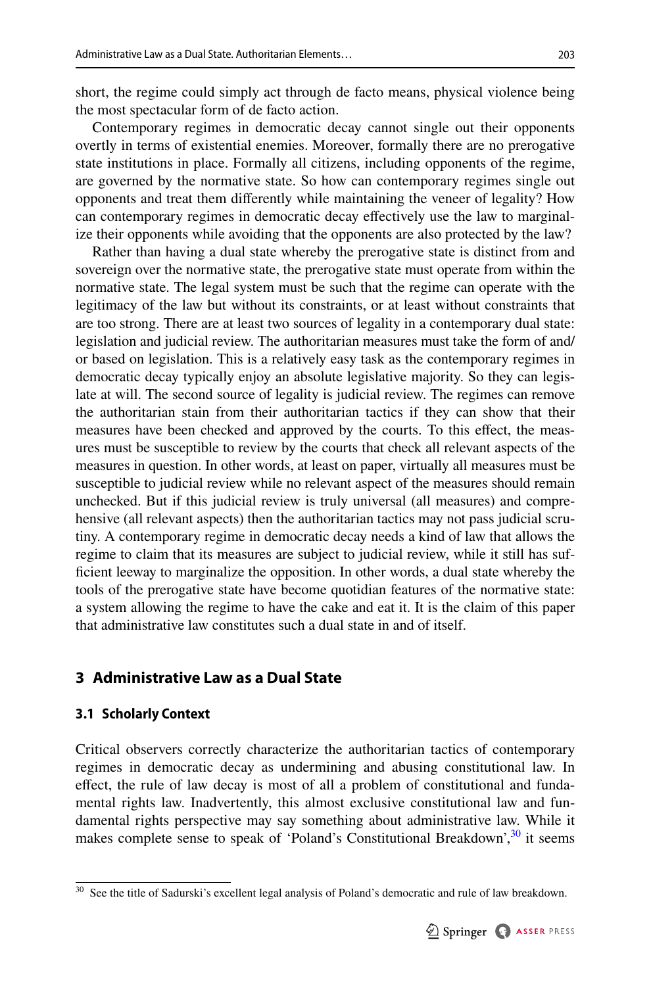short, the regime could simply act through de facto means, physical violence being the most spectacular form of de facto action.

Contemporary regimes in democratic decay cannot single out their opponents overtly in terms of existential enemies. Moreover, formally there are no prerogative state institutions in place. Formally all citizens, including opponents of the regime, are governed by the normative state. So how can contemporary regimes single out opponents and treat them diferently while maintaining the veneer of legality? How can contemporary regimes in democratic decay efectively use the law to marginalize their opponents while avoiding that the opponents are also protected by the law?

Rather than having a dual state whereby the prerogative state is distinct from and sovereign over the normative state, the prerogative state must operate from within the normative state. The legal system must be such that the regime can operate with the legitimacy of the law but without its constraints, or at least without constraints that are too strong. There are at least two sources of legality in a contemporary dual state: legislation and judicial review. The authoritarian measures must take the form of and/ or based on legislation. This is a relatively easy task as the contemporary regimes in democratic decay typically enjoy an absolute legislative majority. So they can legislate at will. The second source of legality is judicial review. The regimes can remove the authoritarian stain from their authoritarian tactics if they can show that their measures have been checked and approved by the courts. To this efect, the measures must be susceptible to review by the courts that check all relevant aspects of the measures in question. In other words, at least on paper, virtually all measures must be susceptible to judicial review while no relevant aspect of the measures should remain unchecked. But if this judicial review is truly universal (all measures) and comprehensive (all relevant aspects) then the authoritarian tactics may not pass judicial scrutiny. A contemporary regime in democratic decay needs a kind of law that allows the regime to claim that its measures are subject to judicial review, while it still has suffcient leeway to marginalize the opposition. In other words, a dual state whereby the tools of the prerogative state have become quotidian features of the normative state: a system allowing the regime to have the cake and eat it. It is the claim of this paper that administrative law constitutes such a dual state in and of itself.

## <span id="page-9-0"></span>**3 Administrative Law as a Dual State**

#### **3.1 Scholarly Context**

Critical observers correctly characterize the authoritarian tactics of contemporary regimes in democratic decay as undermining and abusing constitutional law. In efect, the rule of law decay is most of all a problem of constitutional and fundamental rights law. Inadvertently, this almost exclusive constitutional law and fundamental rights perspective may say something about administrative law. While it makes complete sense to speak of 'Poland's Constitutional Breakdown',<sup>30</sup> it seems

<span id="page-9-1"></span><sup>&</sup>lt;sup>30</sup> See the title of Sadurski's excellent legal analysis of Poland's democratic and rule of law breakdown.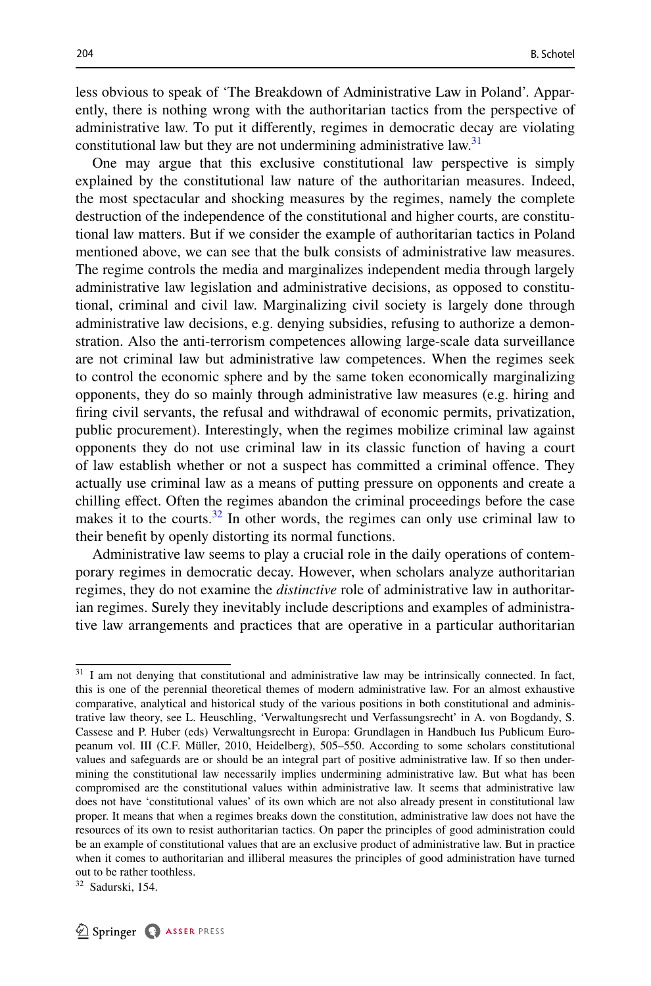less obvious to speak of 'The Breakdown of Administrative Law in Poland'. Apparently, there is nothing wrong with the authoritarian tactics from the perspective of administrative law. To put it diferently, regimes in democratic decay are violating constitutional law but they are not undermining administrative law.<sup>[31](#page-10-0)</sup>

One may argue that this exclusive constitutional law perspective is simply explained by the constitutional law nature of the authoritarian measures. Indeed, the most spectacular and shocking measures by the regimes, namely the complete destruction of the independence of the constitutional and higher courts, are constitutional law matters. But if we consider the example of authoritarian tactics in Poland mentioned above, we can see that the bulk consists of administrative law measures. The regime controls the media and marginalizes independent media through largely administrative law legislation and administrative decisions, as opposed to constitutional, criminal and civil law. Marginalizing civil society is largely done through administrative law decisions, e.g. denying subsidies, refusing to authorize a demonstration. Also the anti-terrorism competences allowing large-scale data surveillance are not criminal law but administrative law competences. When the regimes seek to control the economic sphere and by the same token economically marginalizing opponents, they do so mainly through administrative law measures (e.g. hiring and fring civil servants, the refusal and withdrawal of economic permits, privatization, public procurement). Interestingly, when the regimes mobilize criminal law against opponents they do not use criminal law in its classic function of having a court of law establish whether or not a suspect has committed a criminal ofence. They actually use criminal law as a means of putting pressure on opponents and create a chilling efect. Often the regimes abandon the criminal proceedings before the case makes it to the courts. $32$  In other words, the regimes can only use criminal law to their beneft by openly distorting its normal functions.

Administrative law seems to play a crucial role in the daily operations of contemporary regimes in democratic decay. However, when scholars analyze authoritarian regimes, they do not examine the *distinctive* role of administrative law in authoritarian regimes. Surely they inevitably include descriptions and examples of administrative law arrangements and practices that are operative in a particular authoritarian

<span id="page-10-0"></span><sup>&</sup>lt;sup>31</sup> I am not denying that constitutional and administrative law may be intrinsically connected. In fact, this is one of the perennial theoretical themes of modern administrative law. For an almost exhaustive comparative, analytical and historical study of the various positions in both constitutional and administrative law theory, see L. Heuschling, 'Verwaltungsrecht und Verfassungsrecht' in A. von Bogdandy, S. Cassese and P. Huber (eds) Verwaltungsrecht in Europa: Grundlagen in Handbuch Ius Publicum Europeanum vol. III (C.F. Müller, 2010, Heidelberg), 505–550. According to some scholars constitutional values and safeguards are or should be an integral part of positive administrative law. If so then undermining the constitutional law necessarily implies undermining administrative law. But what has been compromised are the constitutional values within administrative law. It seems that administrative law does not have 'constitutional values' of its own which are not also already present in constitutional law proper. It means that when a regimes breaks down the constitution, administrative law does not have the resources of its own to resist authoritarian tactics. On paper the principles of good administration could be an example of constitutional values that are an exclusive product of administrative law. But in practice when it comes to authoritarian and illiberal measures the principles of good administration have turned out to be rather toothless.

<span id="page-10-1"></span><sup>32</sup> Sadurski, 154.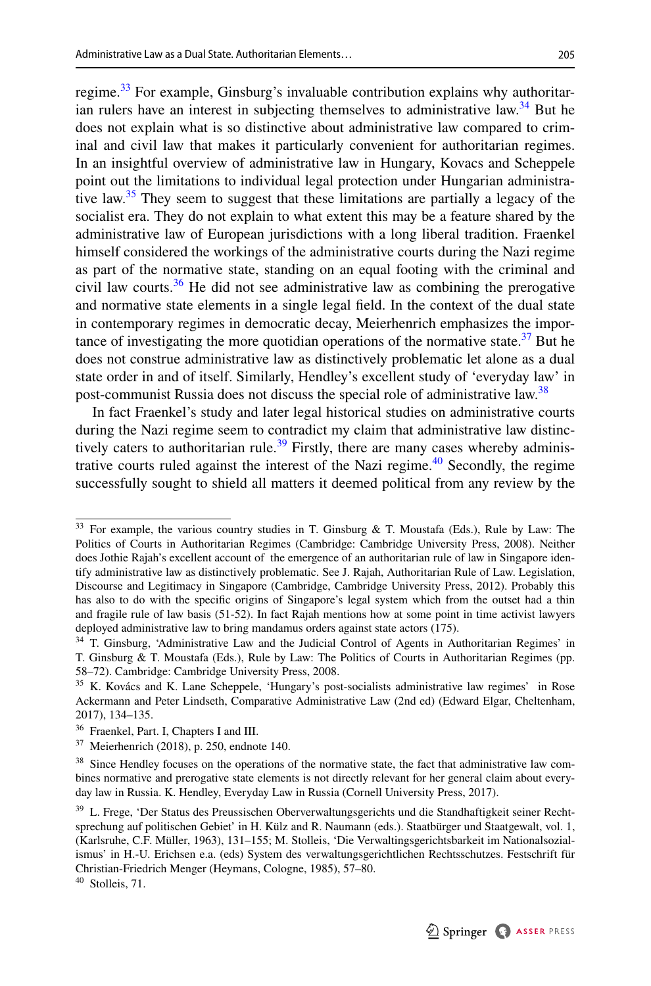regime.<sup>33</sup> For example, Ginsburg's invaluable contribution explains why authoritarian rulers have an interest in subjecting themselves to administrative law.<sup>34</sup> But he does not explain what is so distinctive about administrative law compared to criminal and civil law that makes it particularly convenient for authoritarian regimes. In an insightful overview of administrative law in Hungary, Kovacs and Scheppele point out the limitations to individual legal protection under Hungarian administrative law.<sup>35</sup> They seem to suggest that these limitations are partially a legacy of the socialist era. They do not explain to what extent this may be a feature shared by the administrative law of European jurisdictions with a long liberal tradition. Fraenkel himself considered the workings of the administrative courts during the Nazi regime as part of the normative state, standing on an equal footing with the criminal and civil law courts.<sup>36</sup> He did not see administrative law as combining the prerogative and normative state elements in a single legal feld. In the context of the dual state in contemporary regimes in democratic decay, Meierhenrich emphasizes the importance of investigating the more quotidian operations of the normative state. $37$  But he does not construe administrative law as distinctively problematic let alone as a dual state order in and of itself. Similarly, Hendley's excellent study of 'everyday law' in post-communist Russia does not discuss the special role of administrative law.<sup>[38](#page-11-5)</sup>

In fact Fraenkel's study and later legal historical studies on administrative courts during the Nazi regime seem to contradict my claim that administrative law distinctively caters to authoritarian rule.<sup>39</sup> Firstly, there are many cases whereby adminis-trative courts ruled against the interest of the Nazi regime.<sup>[40](#page-11-7)</sup> Secondly, the regime successfully sought to shield all matters it deemed political from any review by the

<span id="page-11-0"></span><sup>&</sup>lt;sup>33</sup> For example, the various country studies in T. Ginsburg & T. Moustafa (Eds.), Rule by Law: The Politics of Courts in Authoritarian Regimes (Cambridge: Cambridge University Press, 2008). Neither does Jothie Rajah's excellent account of the emergence of an authoritarian rule of law in Singapore identify administrative law as distinctively problematic. See J. Rajah, Authoritarian Rule of Law. Legislation, Discourse and Legitimacy in Singapore (Cambridge, Cambridge University Press, 2012). Probably this has also to do with the specifc origins of Singapore's legal system which from the outset had a thin and fragile rule of law basis (51-52). In fact Rajah mentions how at some point in time activist lawyers deployed administrative law to bring mandamus orders against state actors (175).

<span id="page-11-1"></span><sup>&</sup>lt;sup>34</sup> T. Ginsburg, 'Administrative Law and the Judicial Control of Agents in Authoritarian Regimes' in T. Ginsburg & T. Moustafa (Eds.), Rule by Law: The Politics of Courts in Authoritarian Regimes (pp. 58–72). Cambridge: Cambridge University Press, 2008.

<span id="page-11-2"></span><sup>&</sup>lt;sup>35</sup> K. Kovács and K. Lane Scheppele, 'Hungary's post-socialists administrative law regimes' in Rose Ackermann and Peter Lindseth, Comparative Administrative Law (2nd ed) (Edward Elgar, Cheltenham, 2017), 134–135.

<span id="page-11-3"></span><sup>36</sup> Fraenkel, Part. I, Chapters I and III.

<span id="page-11-4"></span><sup>37</sup> Meierhenrich (2018), p. 250, endnote 140.

<span id="page-11-5"></span><sup>&</sup>lt;sup>38</sup> Since Hendley focuses on the operations of the normative state, the fact that administrative law combines normative and prerogative state elements is not directly relevant for her general claim about everyday law in Russia. K. Hendley, Everyday Law in Russia (Cornell University Press, 2017).

<span id="page-11-6"></span><sup>&</sup>lt;sup>39</sup> L. Frege, 'Der Status des Preussischen Oberverwaltungsgerichts und die Standhaftigkeit seiner Rechtsprechung auf politischen Gebiet' in H. Külz and R. Naumann (eds.). Staatbürger und Staatgewalt, vol. 1, (Karlsruhe, C.F. Müller, 1963), 131–155; M. Stolleis, 'Die Verwaltingsgerichtsbarkeit im Nationalsozialismus' in H.-U. Erichsen e.a. (eds) System des verwaltungsgerichtlichen Rechtsschutzes. Festschrift für Christian-Friedrich Menger (Heymans, Cologne, 1985), 57–80.

<span id="page-11-7"></span><sup>40</sup> Stolleis, 71.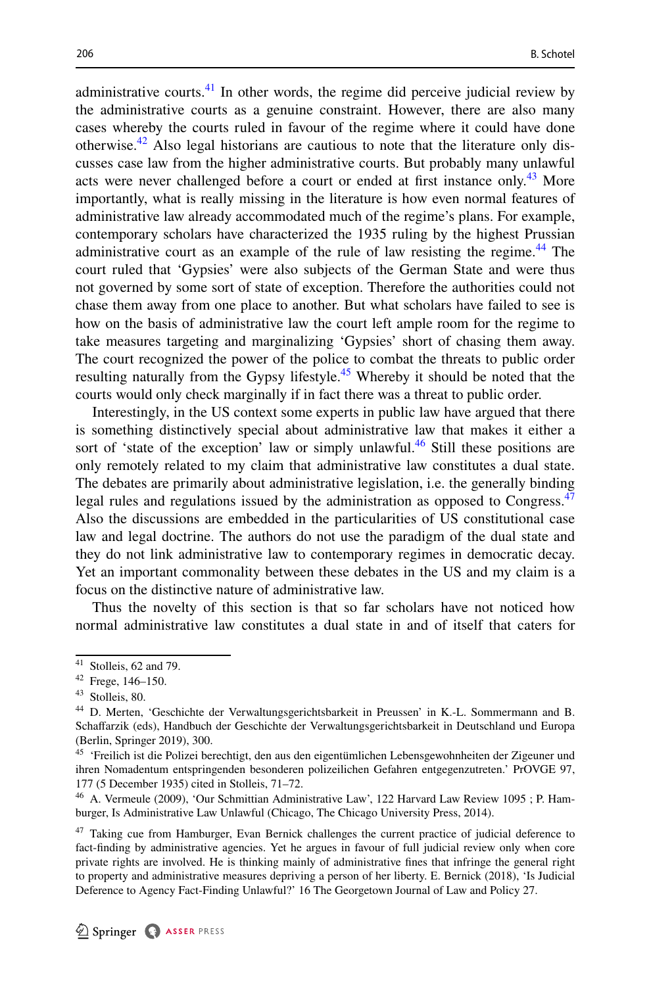administrative courts. $41$  In other words, the regime did perceive judicial review by the administrative courts as a genuine constraint. However, there are also many cases whereby the courts ruled in favour of the regime where it could have done otherwise.<sup>42</sup> Also legal historians are cautious to note that the literature only discusses case law from the higher administrative courts. But probably many unlawful acts were never challenged before a court or ended at first instance only.<sup>43</sup> More importantly, what is really missing in the literature is how even normal features of administrative law already accommodated much of the regime's plans. For example, contemporary scholars have characterized the 1935 ruling by the highest Prussian administrative court as an example of the rule of law resisting the regime.<sup>44</sup> The court ruled that 'Gypsies' were also subjects of the German State and were thus not governed by some sort of state of exception. Therefore the authorities could not chase them away from one place to another. But what scholars have failed to see is how on the basis of administrative law the court left ample room for the regime to take measures targeting and marginalizing 'Gypsies' short of chasing them away. The court recognized the power of the police to combat the threats to public order resulting naturally from the Gypsy lifestyle.[45](#page-12-4) Whereby it should be noted that the courts would only check marginally if in fact there was a threat to public order.

Interestingly, in the US context some experts in public law have argued that there is something distinctively special about administrative law that makes it either a sort of 'state of the exception' law or simply unlawful.<sup>[46](#page-12-5)</sup> Still these positions are only remotely related to my claim that administrative law constitutes a dual state. The debates are primarily about administrative legislation, i.e. the generally binding legal rules and regulations issued by the administration as opposed to Congress.<sup>47</sup> Also the discussions are embedded in the particularities of US constitutional case law and legal doctrine. The authors do not use the paradigm of the dual state and they do not link administrative law to contemporary regimes in democratic decay. Yet an important commonality between these debates in the US and my claim is a focus on the distinctive nature of administrative law.

Thus the novelty of this section is that so far scholars have not noticed how normal administrative law constitutes a dual state in and of itself that caters for

<span id="page-12-0"></span> $41$  Stolleis, 62 and 79.

<span id="page-12-1"></span><sup>42</sup> Frege, 146–150.

<span id="page-12-2"></span><sup>43</sup> Stolleis, 80.

<span id="page-12-3"></span><sup>44</sup> D. Merten, 'Geschichte der Verwaltungsgerichtsbarkeit in Preussen' in K.-L. Sommermann and B. Schafarzik (eds), Handbuch der Geschichte der Verwaltungsgerichtsbarkeit in Deutschland und Europa (Berlin, Springer 2019), 300.

<span id="page-12-4"></span><sup>45</sup> 'Freilich ist die Polizei berechtigt, den aus den eigentümlichen Lebensgewohnheiten der Zigeuner und ihren Nomadentum entspringenden besonderen polizeilichen Gefahren entgegenzutreten.' PrOVGE 97, 177 (5 December 1935) cited in Stolleis, 71–72.

<span id="page-12-5"></span><sup>46</sup> A. Vermeule (2009), 'Our Schmittian Administrative Law', 122 Harvard Law Review 1095 ; P. Hamburger, Is Administrative Law Unlawful (Chicago, The Chicago University Press, 2014).

<span id="page-12-6"></span><sup>&</sup>lt;sup>47</sup> Taking cue from Hamburger, Evan Bernick challenges the current practice of judicial deference to fact-fnding by administrative agencies. Yet he argues in favour of full judicial review only when core private rights are involved. He is thinking mainly of administrative fnes that infringe the general right to property and administrative measures depriving a person of her liberty. E. Bernick (2018), 'Is Judicial Deference to Agency Fact-Finding Unlawful?' 16 The Georgetown Journal of Law and Policy 27.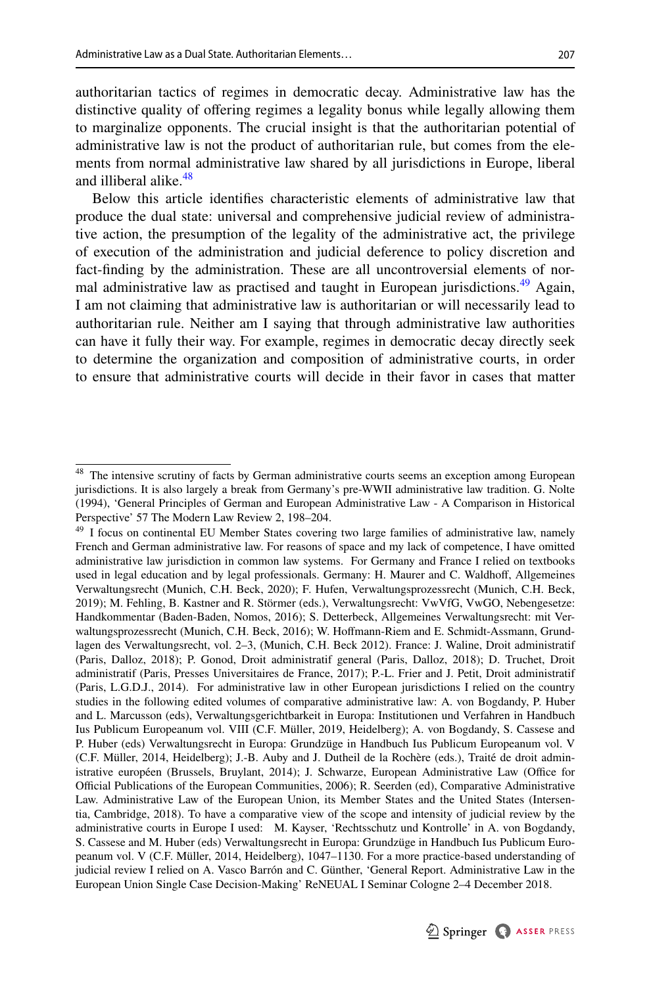authoritarian tactics of regimes in democratic decay. Administrative law has the distinctive quality of ofering regimes a legality bonus while legally allowing them to marginalize opponents. The crucial insight is that the authoritarian potential of administrative law is not the product of authoritarian rule, but comes from the elements from normal administrative law shared by all jurisdictions in Europe, liberal and illiberal alike.<sup>48</sup>

Below this article identifes characteristic elements of administrative law that produce the dual state: universal and comprehensive judicial review of administrative action, the presumption of the legality of the administrative act, the privilege of execution of the administration and judicial deference to policy discretion and fact-fnding by the administration. These are all uncontroversial elements of normal administrative law as practised and taught in European jurisdictions.<sup>49</sup> Again, I am not claiming that administrative law is authoritarian or will necessarily lead to authoritarian rule. Neither am I saying that through administrative law authorities can have it fully their way. For example, regimes in democratic decay directly seek to determine the organization and composition of administrative courts, in order to ensure that administrative courts will decide in their favor in cases that matter

<span id="page-13-1"></span><sup>&</sup>lt;sup>49</sup> I focus on continental EU Member States covering two large families of administrative law, namely French and German administrative law. For reasons of space and my lack of competence, I have omitted administrative law jurisdiction in common law systems. For Germany and France I relied on textbooks used in legal education and by legal professionals. Germany: H. Maurer and C. Waldhoff, Allgemeines Verwaltungsrecht (Munich, C.H. Beck, 2020); F. Hufen, Verwaltungsprozessrecht (Munich, C.H. Beck, 2019); M. Fehling, B. Kastner and R. Störmer (eds.), Verwaltungsrecht: VwVfG, VwGO, Nebengesetze: Handkommentar (Baden-Baden, Nomos, 2016); S. Detterbeck, Allgemeines Verwaltungsrecht: mit Verwaltungsprozessrecht (Munich, C.H. Beck, 2016); W. Hofmann-Riem and E. Schmidt-Assmann, Grundlagen des Verwaltungsrecht, vol. 2–3, (Munich, C.H. Beck 2012). France: J. Waline, Droit administratif (Paris, Dalloz, 2018); P. Gonod, Droit administratif general (Paris, Dalloz, 2018); D. Truchet, Droit administratif (Paris, Presses Universitaires de France, 2017); P.-L. Frier and J. Petit, Droit administratif (Paris, L.G.D.J., 2014). For administrative law in other European jurisdictions I relied on the country studies in the following edited volumes of comparative administrative law: A. von Bogdandy, P. Huber and L. Marcusson (eds), Verwaltungsgerichtbarkeit in Europa: Institutionen und Verfahren in Handbuch Ius Publicum Europeanum vol. VIII (C.F. Müller, 2019, Heidelberg); A. von Bogdandy, S. Cassese and P. Huber (eds) Verwaltungsrecht in Europa: Grundzüge in Handbuch Ius Publicum Europeanum vol. V (C.F. Müller, 2014, Heidelberg); J.-B. Auby and J. Dutheil de la Rochère (eds.), Traité de droit administrative européen (Brussels, Bruylant, 2014); J. Schwarze, European Administrative Law (Office for Official Publications of the European Communities, 2006); R. Seerden (ed), Comparative Administrative Law. Administrative Law of the European Union, its Member States and the United States (Intersentia, Cambridge, 2018). To have a comparative view of the scope and intensity of judicial review by the administrative courts in Europe I used: M. Kayser, 'Rechtsschutz und Kontrolle' in A. von Bogdandy, S. Cassese and M. Huber (eds) Verwaltungsrecht in Europa: Grundzüge in Handbuch Ius Publicum Europeanum vol. V (C.F. Müller, 2014, Heidelberg), 1047–1130. For a more practice-based understanding of judicial review I relied on A. Vasco Barrón and C. Günther, 'General Report. Administrative Law in the European Union Single Case Decision-Making' ReNEUAL I Seminar Cologne 2–4 December 2018.



<span id="page-13-0"></span><sup>&</sup>lt;sup>48</sup> The intensive scrutiny of facts by German administrative courts seems an exception among European jurisdictions. It is also largely a break from Germany's pre-WWII administrative law tradition. G. Nolte (1994), 'General Principles of German and European Administrative Law - A Comparison in Historical Perspective' 57 The Modern Law Review 2, 198–204.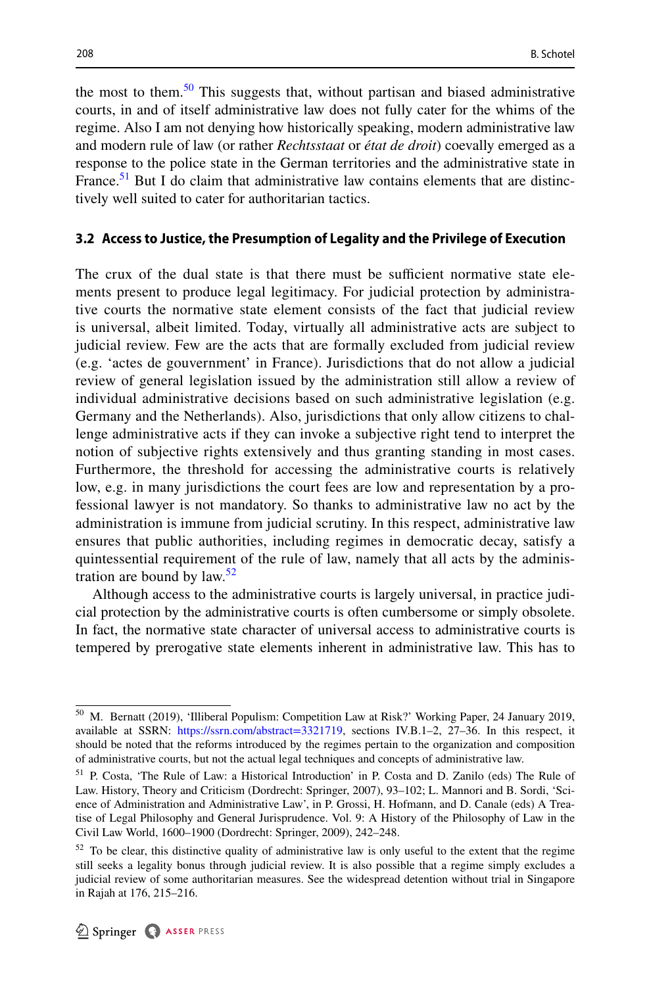the most to them.<sup>50</sup> This suggests that, without partisan and biased administrative courts, in and of itself administrative law does not fully cater for the whims of the regime. Also I am not denying how historically speaking, modern administrative law and modern rule of law (or rather *Rechtsstaat* or *état de droit*) coevally emerged as a response to the police state in the German territories and the administrative state in France.<sup>51</sup> But I do claim that administrative law contains elements that are distinctively well suited to cater for authoritarian tactics.

#### **3.2 Access to Justice, the Presumption of Legality and the Privilege of Execution**

The crux of the dual state is that there must be sufficient normative state elements present to produce legal legitimacy. For judicial protection by administrative courts the normative state element consists of the fact that judicial review is universal, albeit limited. Today, virtually all administrative acts are subject to judicial review. Few are the acts that are formally excluded from judicial review (e.g. 'actes de gouvernment' in France). Jurisdictions that do not allow a judicial review of general legislation issued by the administration still allow a review of individual administrative decisions based on such administrative legislation (e.g. Germany and the Netherlands). Also, jurisdictions that only allow citizens to challenge administrative acts if they can invoke a subjective right tend to interpret the notion of subjective rights extensively and thus granting standing in most cases. Furthermore, the threshold for accessing the administrative courts is relatively low, e.g. in many jurisdictions the court fees are low and representation by a professional lawyer is not mandatory. So thanks to administrative law no act by the administration is immune from judicial scrutiny. In this respect, administrative law ensures that public authorities, including regimes in democratic decay, satisfy a quintessential requirement of the rule of law, namely that all acts by the administration are bound by  $law.<sup>52</sup>$  $law.<sup>52</sup>$  $law.<sup>52</sup>$ 

Although access to the administrative courts is largely universal, in practice judicial protection by the administrative courts is often cumbersome or simply obsolete. In fact, the normative state character of universal access to administrative courts is tempered by prerogative state elements inherent in administrative law. This has to

<span id="page-14-0"></span><sup>50</sup> M. Bernatt (2019), 'Illiberal Populism: Competition Law at Risk?' Working Paper, 24 January 2019, available at SSRN: <https://ssrn.com/abstract=3321719>, sections IV.B.1–2, 27–36. In this respect, it should be noted that the reforms introduced by the regimes pertain to the organization and composition of administrative courts, but not the actual legal techniques and concepts of administrative law.

<span id="page-14-1"></span><sup>&</sup>lt;sup>51</sup> P. Costa, 'The Rule of Law: a Historical Introduction' in P. Costa and D. Zanilo (eds) The Rule of Law. History, Theory and Criticism (Dordrecht: Springer, 2007), 93–102; L. Mannori and B. Sordi, 'Science of Administration and Administrative Law', in P. Grossi, H. Hofmann, and D. Canale (eds) A Treatise of Legal Philosophy and General Jurisprudence. Vol. 9: A History of the Philosophy of Law in the Civil Law World, 1600–1900 (Dordrecht: Springer, 2009), 242–248.

<span id="page-14-2"></span> $52$  To be clear, this distinctive quality of administrative law is only useful to the extent that the regime still seeks a legality bonus through judicial review. It is also possible that a regime simply excludes a judicial review of some authoritarian measures. See the widespread detention without trial in Singapore in Rajah at 176, 215–216.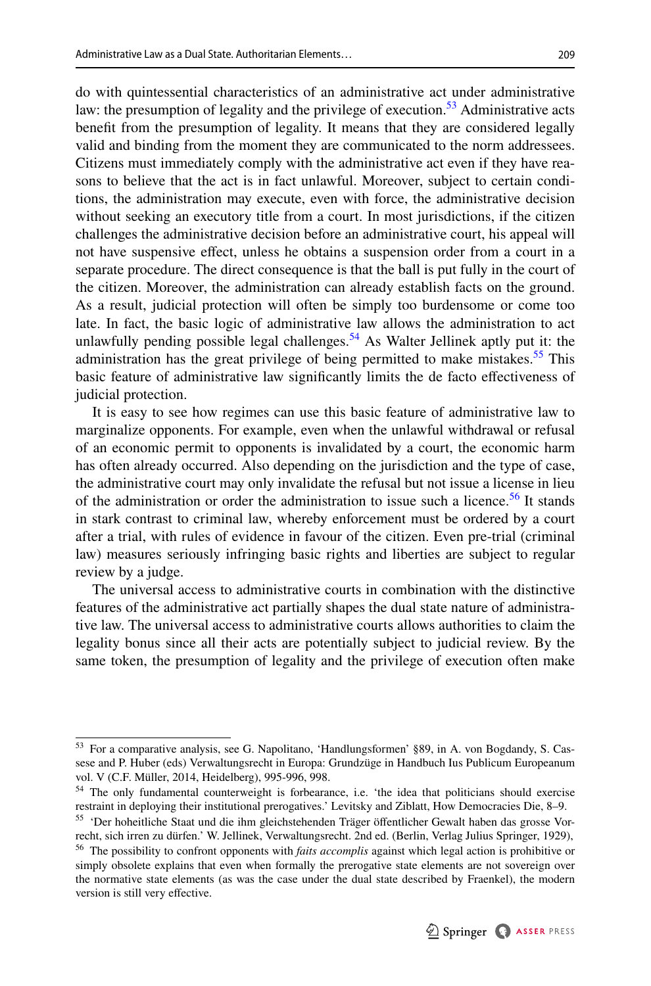do with quintessential characteristics of an administrative act under administrative law: the presumption of legality and the privilege of execution.<sup>53</sup> Administrative acts beneft from the presumption of legality. It means that they are considered legally valid and binding from the moment they are communicated to the norm addressees. Citizens must immediately comply with the administrative act even if they have reasons to believe that the act is in fact unlawful. Moreover, subject to certain conditions, the administration may execute, even with force, the administrative decision without seeking an executory title from a court. In most jurisdictions, if the citizen challenges the administrative decision before an administrative court, his appeal will not have suspensive efect, unless he obtains a suspension order from a court in a separate procedure. The direct consequence is that the ball is put fully in the court of the citizen. Moreover, the administration can already establish facts on the ground. As a result, judicial protection will often be simply too burdensome or come too late. In fact, the basic logic of administrative law allows the administration to act unlawfully pending possible legal challenges.<sup>54</sup> As Walter Jellinek aptly put it: the administration has the great privilege of being permitted to make mistakes.<sup>55</sup> This basic feature of administrative law signifcantly limits the de facto efectiveness of judicial protection.

It is easy to see how regimes can use this basic feature of administrative law to marginalize opponents. For example, even when the unlawful withdrawal or refusal of an economic permit to opponents is invalidated by a court, the economic harm has often already occurred. Also depending on the jurisdiction and the type of case, the administrative court may only invalidate the refusal but not issue a license in lieu of the administration or order the administration to issue such a licence.<sup>[56](#page-15-3)</sup> It stands in stark contrast to criminal law, whereby enforcement must be ordered by a court after a trial, with rules of evidence in favour of the citizen. Even pre-trial (criminal law) measures seriously infringing basic rights and liberties are subject to regular review by a judge.

The universal access to administrative courts in combination with the distinctive features of the administrative act partially shapes the dual state nature of administrative law. The universal access to administrative courts allows authorities to claim the legality bonus since all their acts are potentially subject to judicial review. By the same token, the presumption of legality and the privilege of execution often make

<span id="page-15-0"></span><sup>53</sup> For a comparative analysis, see G. Napolitano, 'Handlungsformen' §89, in A. von Bogdandy, S. Cassese and P. Huber (eds) Verwaltungsrecht in Europa: Grundzüge in Handbuch Ius Publicum Europeanum vol. V (C.F. Müller, 2014, Heidelberg), 995-996, 998.

<span id="page-15-1"></span><sup>54</sup> The only fundamental counterweight is forbearance, i.e. 'the idea that politicians should exercise restraint in deploying their institutional prerogatives.' Levitsky and Ziblatt, How Democracies Die, 8–9.

<span id="page-15-2"></span><sup>&</sup>lt;sup>55</sup> 'Der hoheitliche Staat und die ihm gleichstehenden Träger öffentlicher Gewalt haben das grosse Vorrecht, sich irren zu dürfen.' W. Jellinek, Verwaltungsrecht. 2nd ed. (Berlin, Verlag Julius Springer, 1929),

<span id="page-15-3"></span><sup>56</sup> The possibility to confront opponents with *faits accomplis* against which legal action is prohibitive or simply obsolete explains that even when formally the prerogative state elements are not sovereign over the normative state elements (as was the case under the dual state described by Fraenkel), the modern version is still very efective.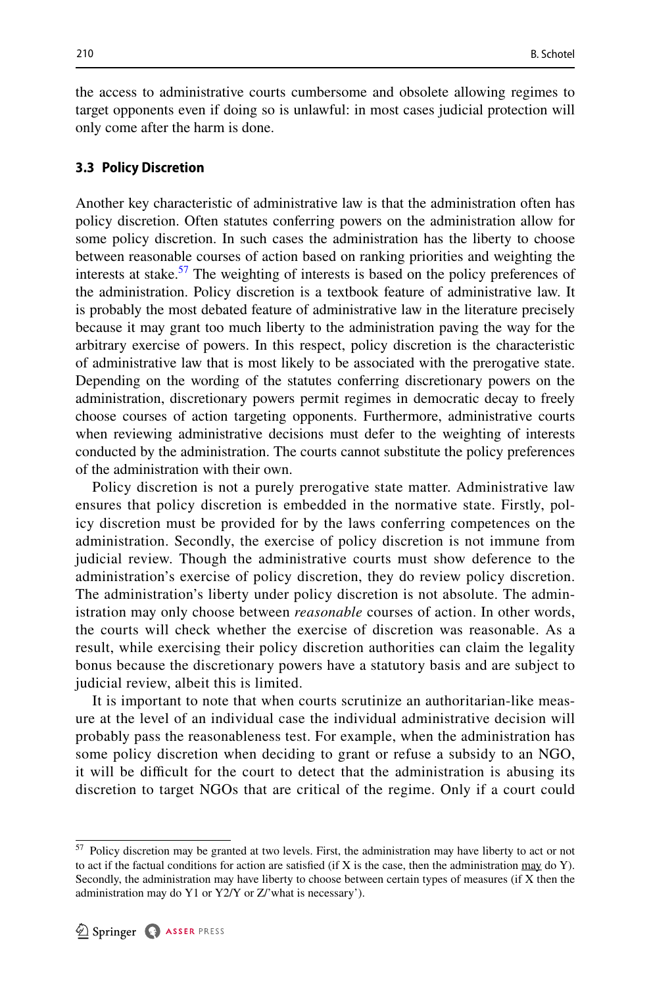the access to administrative courts cumbersome and obsolete allowing regimes to target opponents even if doing so is unlawful: in most cases judicial protection will only come after the harm is done.

#### **3.3 Policy Discretion**

Another key characteristic of administrative law is that the administration often has policy discretion. Often statutes conferring powers on the administration allow for some policy discretion. In such cases the administration has the liberty to choose between reasonable courses of action based on ranking priorities and weighting the interests at stake.<sup>57</sup> The weighting of interests is based on the policy preferences of the administration. Policy discretion is a textbook feature of administrative law. It is probably the most debated feature of administrative law in the literature precisely because it may grant too much liberty to the administration paving the way for the arbitrary exercise of powers. In this respect, policy discretion is the characteristic of administrative law that is most likely to be associated with the prerogative state. Depending on the wording of the statutes conferring discretionary powers on the administration, discretionary powers permit regimes in democratic decay to freely choose courses of action targeting opponents. Furthermore, administrative courts when reviewing administrative decisions must defer to the weighting of interests conducted by the administration. The courts cannot substitute the policy preferences of the administration with their own.

Policy discretion is not a purely prerogative state matter. Administrative law ensures that policy discretion is embedded in the normative state. Firstly, policy discretion must be provided for by the laws conferring competences on the administration. Secondly, the exercise of policy discretion is not immune from judicial review. Though the administrative courts must show deference to the administration's exercise of policy discretion, they do review policy discretion. The administration's liberty under policy discretion is not absolute. The administration may only choose between *reasonable* courses of action. In other words, the courts will check whether the exercise of discretion was reasonable. As a result, while exercising their policy discretion authorities can claim the legality bonus because the discretionary powers have a statutory basis and are subject to judicial review, albeit this is limited.

It is important to note that when courts scrutinize an authoritarian-like measure at the level of an individual case the individual administrative decision will probably pass the reasonableness test. For example, when the administration has some policy discretion when deciding to grant or refuse a subsidy to an NGO, it will be difficult for the court to detect that the administration is abusing its discretion to target NGOs that are critical of the regime. Only if a court could

<span id="page-16-0"></span><sup>&</sup>lt;sup>57</sup> Policy discretion may be granted at two levels. First, the administration may have liberty to act or not to act if the factual conditions for action are satisfied (if X is the case, then the administration  $\max$  do Y). Secondly, the administration may have liberty to choose between certain types of measures (if X then the administration may do Y1 or Y2/Y or Z/'what is necessary').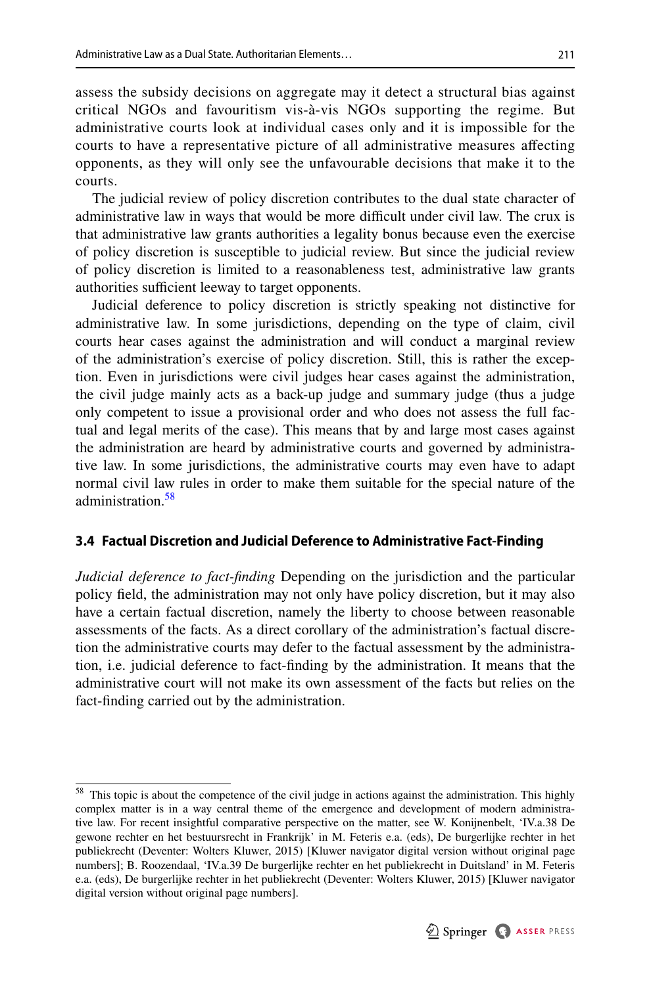assess the subsidy decisions on aggregate may it detect a structural bias against critical NGOs and favouritism vis-à-vis NGOs supporting the regime. But administrative courts look at individual cases only and it is impossible for the courts to have a representative picture of all administrative measures afecting opponents, as they will only see the unfavourable decisions that make it to the courts.

The judicial review of policy discretion contributes to the dual state character of administrative law in ways that would be more difficult under civil law. The crux is that administrative law grants authorities a legality bonus because even the exercise of policy discretion is susceptible to judicial review. But since the judicial review of policy discretion is limited to a reasonableness test, administrative law grants authorities sufficient leeway to target opponents.

Judicial deference to policy discretion is strictly speaking not distinctive for administrative law. In some jurisdictions, depending on the type of claim, civil courts hear cases against the administration and will conduct a marginal review of the administration's exercise of policy discretion. Still, this is rather the exception. Even in jurisdictions were civil judges hear cases against the administration, the civil judge mainly acts as a back-up judge and summary judge (thus a judge only competent to issue a provisional order and who does not assess the full factual and legal merits of the case). This means that by and large most cases against the administration are heard by administrative courts and governed by administrative law. In some jurisdictions, the administrative courts may even have to adapt normal civil law rules in order to make them suitable for the special nature of the administration.<sup>58</sup>

#### **3.4 Factual Discretion and Judicial Deference to Administrative Fact‑Finding**

*Judicial deference to fact-fnding* Depending on the jurisdiction and the particular policy feld, the administration may not only have policy discretion, but it may also have a certain factual discretion, namely the liberty to choose between reasonable assessments of the facts. As a direct corollary of the administration's factual discretion the administrative courts may defer to the factual assessment by the administration, i.e. judicial deference to fact-fnding by the administration. It means that the administrative court will not make its own assessment of the facts but relies on the fact-fnding carried out by the administration.

<span id="page-17-0"></span><sup>&</sup>lt;sup>58</sup> This topic is about the competence of the civil judge in actions against the administration. This highly complex matter is in a way central theme of the emergence and development of modern administrative law. For recent insightful comparative perspective on the matter, see W. Konijnenbelt, 'IV.a.38 De gewone rechter en het bestuursrecht in Frankrijk' in M. Feteris e.a. (eds), De burgerlijke rechter in het publiekrecht (Deventer: Wolters Kluwer, 2015) [Kluwer navigator digital version without original page numbers]; B. Roozendaal, 'IV.a.39 De burgerlijke rechter en het publiekrecht in Duitsland' in M. Feteris e.a. (eds), De burgerlijke rechter in het publiekrecht (Deventer: Wolters Kluwer, 2015) [Kluwer navigator digital version without original page numbers].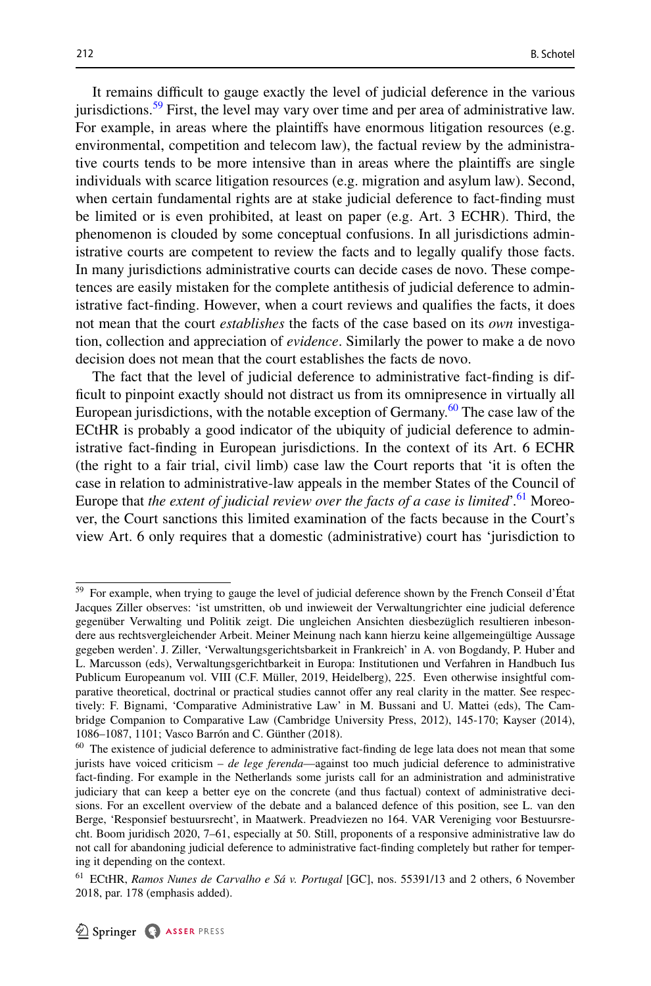It remains difficult to gauge exactly the level of judicial deference in the various jurisdictions.<sup>[59](#page-18-0)</sup> First, the level may vary over time and per area of administrative law. For example, in areas where the plaintifs have enormous litigation resources (e.g. environmental, competition and telecom law), the factual review by the administrative courts tends to be more intensive than in areas where the plaintifs are single individuals with scarce litigation resources (e.g. migration and asylum law). Second, when certain fundamental rights are at stake judicial deference to fact-fnding must be limited or is even prohibited, at least on paper (e.g. Art. 3 ECHR). Third, the phenomenon is clouded by some conceptual confusions. In all jurisdictions administrative courts are competent to review the facts and to legally qualify those facts. In many jurisdictions administrative courts can decide cases de novo. These competences are easily mistaken for the complete antithesis of judicial deference to administrative fact-fnding. However, when a court reviews and qualifes the facts, it does not mean that the court *establishes* the facts of the case based on its *own* investigation, collection and appreciation of *evidence*. Similarly the power to make a de novo decision does not mean that the court establishes the facts de novo.

The fact that the level of judicial deference to administrative fact-fnding is diffcult to pinpoint exactly should not distract us from its omnipresence in virtually all European jurisdictions, with the notable exception of Germany.<sup>60</sup> The case law of the ECtHR is probably a good indicator of the ubiquity of judicial deference to administrative fact-fnding in European jurisdictions. In the context of its Art. 6 ECHR (the right to a fair trial, civil limb) case law the Court reports that 'it is often the case in relation to administrative-law appeals in the member States of the Council of Europe that *the extent of judicial review over the facts of a case is limited*'.[61](#page-18-2) Moreover, the Court sanctions this limited examination of the facts because in the Court's view Art. 6 only requires that a domestic (administrative) court has 'jurisdiction to

<span id="page-18-0"></span><sup>59</sup> For example, when trying to gauge the level of judicial deference shown by the French Conseil d'État Jacques Ziller observes: 'ist umstritten, ob und inwieweit der Verwaltungrichter eine judicial deference gegenüber Verwalting und Politik zeigt. Die ungleichen Ansichten diesbezüglich resultieren inbesondere aus rechtsvergleichender Arbeit. Meiner Meinung nach kann hierzu keine allgemeingültige Aussage gegeben werden'. J. Ziller, 'Verwaltungsgerichtsbarkeit in Frankreich' in A. von Bogdandy, P. Huber and L. Marcusson (eds), Verwaltungsgerichtbarkeit in Europa: Institutionen und Verfahren in Handbuch Ius Publicum Europeanum vol. VIII (C.F. Müller, 2019, Heidelberg), 225. Even otherwise insightful comparative theoretical, doctrinal or practical studies cannot ofer any real clarity in the matter. See respectively: F. Bignami, 'Comparative Administrative Law' in M. Bussani and U. Mattei (eds), The Cambridge Companion to Comparative Law (Cambridge University Press, 2012), 145-170; Kayser (2014), 1086–1087, 1101; Vasco Barrón and C. Günther (2018).

<span id="page-18-1"></span><sup>&</sup>lt;sup>60</sup> The existence of judicial deference to administrative fact-finding de lege lata does not mean that some jurists have voiced criticism – *de lege ferenda*—against too much judicial deference to administrative fact-fnding. For example in the Netherlands some jurists call for an administration and administrative judiciary that can keep a better eye on the concrete (and thus factual) context of administrative decisions. For an excellent overview of the debate and a balanced defence of this position, see L. van den Berge, 'Responsief bestuursrecht', in Maatwerk. Preadviezen no 164. VAR Vereniging voor Bestuursrecht. Boom juridisch 2020, 7–61, especially at 50. Still, proponents of a responsive administrative law do not call for abandoning judicial deference to administrative fact-fnding completely but rather for tempering it depending on the context.

<span id="page-18-2"></span><sup>61</sup> ECtHR, *Ramos Nunes de Carvalho e Sá v. Portugal* [GC], nos. 55391/13 and 2 others, 6 November 2018, par. 178 (emphasis added).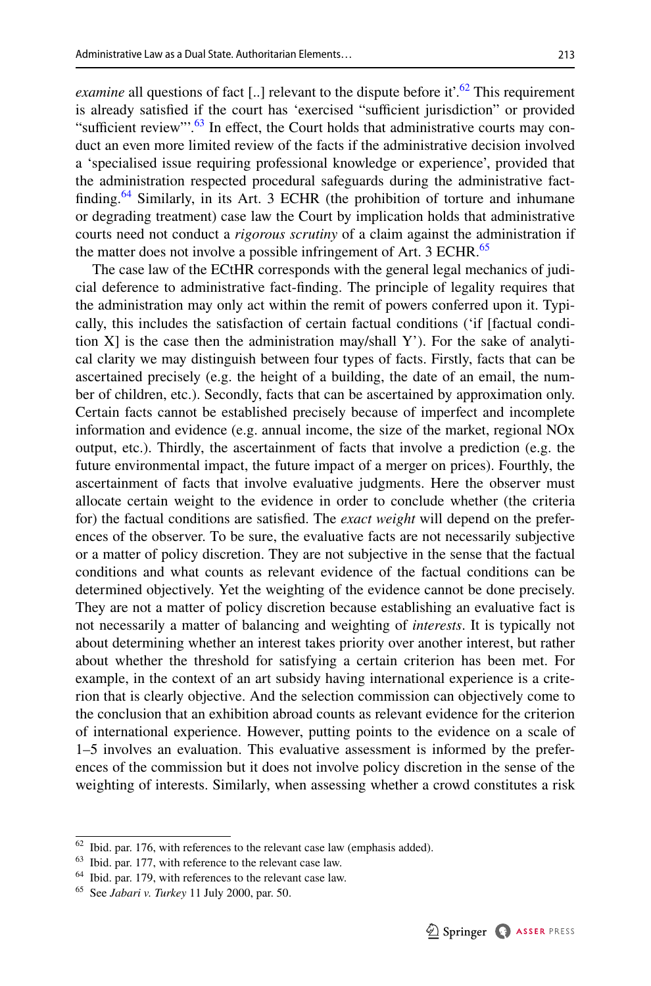*examine* all questions of fact [..] relevant to the dispute before it'.<sup>62</sup> This requirement is already satisfied if the court has 'exercised "sufficient jurisdiction" or provided "sufficient review". $63$  In effect, the Court holds that administrative courts may conduct an even more limited review of the facts if the administrative decision involved a 'specialised issue requiring professional knowledge or experience', provided that the administration respected procedural safeguards during the administrative factfinding.<sup>64</sup> Similarly, in its Art. 3 ECHR (the prohibition of torture and inhumane or degrading treatment) case law the Court by implication holds that administrative courts need not conduct a *rigorous scrutiny* of a claim against the administration if the matter does not involve a possible infringement of Art. 3 ECHR.<sup>[65](#page-19-3)</sup>

The case law of the ECtHR corresponds with the general legal mechanics of judicial deference to administrative fact-fnding. The principle of legality requires that the administration may only act within the remit of powers conferred upon it. Typically, this includes the satisfaction of certain factual conditions ('if [factual condition  $X$ ] is the case then the administration may/shall Y'). For the sake of analytical clarity we may distinguish between four types of facts. Firstly, facts that can be ascertained precisely (e.g. the height of a building, the date of an email, the number of children, etc.). Secondly, facts that can be ascertained by approximation only. Certain facts cannot be established precisely because of imperfect and incomplete information and evidence (e.g. annual income, the size of the market, regional NOx output, etc.). Thirdly, the ascertainment of facts that involve a prediction (e.g. the future environmental impact, the future impact of a merger on prices). Fourthly, the ascertainment of facts that involve evaluative judgments. Here the observer must allocate certain weight to the evidence in order to conclude whether (the criteria for) the factual conditions are satisfed. The *exact weight* will depend on the preferences of the observer. To be sure, the evaluative facts are not necessarily subjective or a matter of policy discretion. They are not subjective in the sense that the factual conditions and what counts as relevant evidence of the factual conditions can be determined objectively. Yet the weighting of the evidence cannot be done precisely. They are not a matter of policy discretion because establishing an evaluative fact is not necessarily a matter of balancing and weighting of *interests*. It is typically not about determining whether an interest takes priority over another interest, but rather about whether the threshold for satisfying a certain criterion has been met. For example, in the context of an art subsidy having international experience is a criterion that is clearly objective. And the selection commission can objectively come to the conclusion that an exhibition abroad counts as relevant evidence for the criterion of international experience. However, putting points to the evidence on a scale of 1–5 involves an evaluation. This evaluative assessment is informed by the preferences of the commission but it does not involve policy discretion in the sense of the weighting of interests. Similarly, when assessing whether a crowd constitutes a risk

<span id="page-19-0"></span> $62$  Ibid. par. 176, with references to the relevant case law (emphasis added).

<span id="page-19-1"></span><sup>63</sup> Ibid. par. 177, with reference to the relevant case law.

<span id="page-19-2"></span><sup>&</sup>lt;sup>64</sup> Ibid. par. 179, with references to the relevant case law.

<span id="page-19-3"></span><sup>65</sup> See *Jabari v. Turkey* 11 July 2000, par. 50.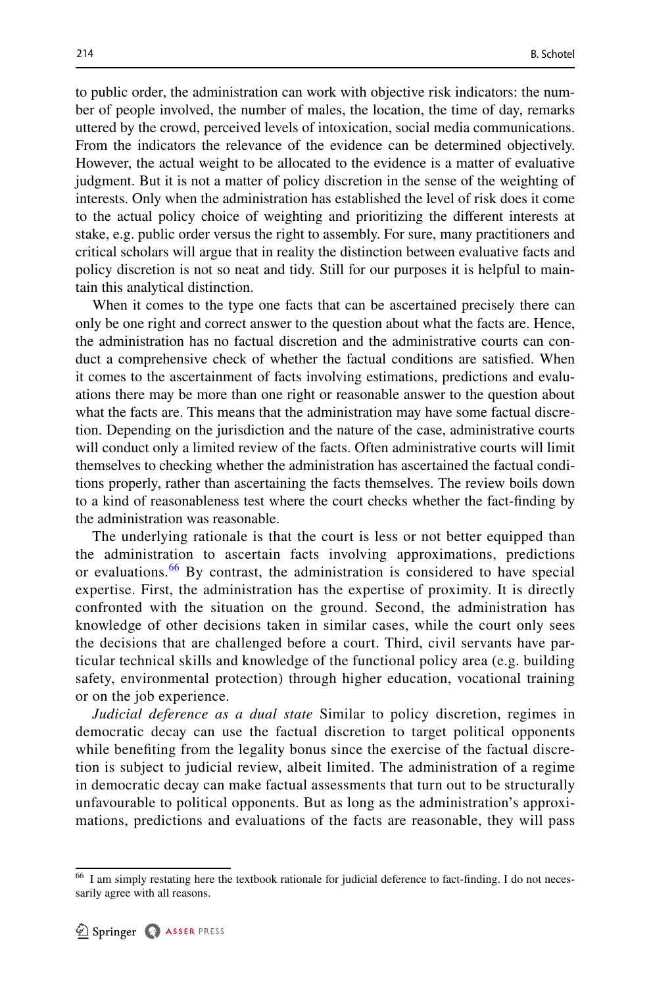to public order, the administration can work with objective risk indicators: the number of people involved, the number of males, the location, the time of day, remarks uttered by the crowd, perceived levels of intoxication, social media communications. From the indicators the relevance of the evidence can be determined objectively. However, the actual weight to be allocated to the evidence is a matter of evaluative judgment. But it is not a matter of policy discretion in the sense of the weighting of interests. Only when the administration has established the level of risk does it come to the actual policy choice of weighting and prioritizing the diferent interests at stake, e.g. public order versus the right to assembly. For sure, many practitioners and critical scholars will argue that in reality the distinction between evaluative facts and policy discretion is not so neat and tidy. Still for our purposes it is helpful to maintain this analytical distinction.

When it comes to the type one facts that can be ascertained precisely there can only be one right and correct answer to the question about what the facts are. Hence, the administration has no factual discretion and the administrative courts can conduct a comprehensive check of whether the factual conditions are satisfed. When it comes to the ascertainment of facts involving estimations, predictions and evaluations there may be more than one right or reasonable answer to the question about what the facts are. This means that the administration may have some factual discretion. Depending on the jurisdiction and the nature of the case, administrative courts will conduct only a limited review of the facts. Often administrative courts will limit themselves to checking whether the administration has ascertained the factual conditions properly, rather than ascertaining the facts themselves. The review boils down to a kind of reasonableness test where the court checks whether the fact-fnding by the administration was reasonable.

The underlying rationale is that the court is less or not better equipped than the administration to ascertain facts involving approximations, predictions or evaluations.<sup>[66](#page-20-0)</sup> By contrast, the administration is considered to have special expertise. First, the administration has the expertise of proximity. It is directly confronted with the situation on the ground. Second, the administration has knowledge of other decisions taken in similar cases, while the court only sees the decisions that are challenged before a court. Third, civil servants have particular technical skills and knowledge of the functional policy area (e.g. building safety, environmental protection) through higher education, vocational training or on the job experience.

*Judicial deference as a dual state* Similar to policy discretion, regimes in democratic decay can use the factual discretion to target political opponents while benefiting from the legality bonus since the exercise of the factual discretion is subject to judicial review, albeit limited. The administration of a regime in democratic decay can make factual assessments that turn out to be structurally unfavourable to political opponents. But as long as the administration's approximations, predictions and evaluations of the facts are reasonable, they will pass

<span id="page-20-0"></span><sup>&</sup>lt;sup>66</sup> I am simply restating here the textbook rationale for judicial deference to fact-finding. I do not necessarily agree with all reasons.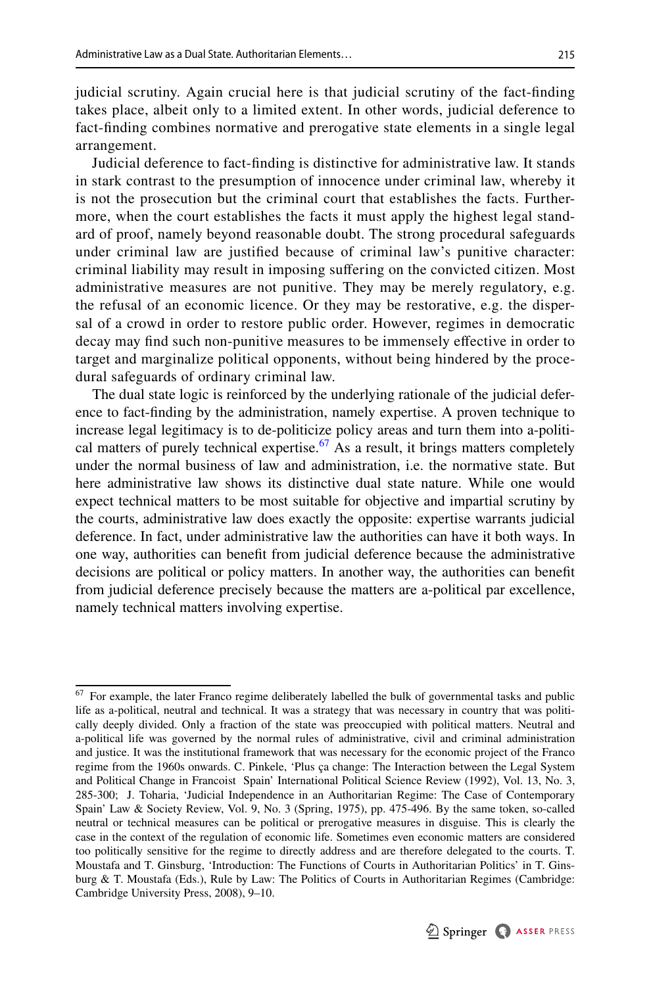judicial scrutiny. Again crucial here is that judicial scrutiny of the fact-fnding takes place, albeit only to a limited extent. In other words, judicial deference to fact-fnding combines normative and prerogative state elements in a single legal arrangement.

Judicial deference to fact-fnding is distinctive for administrative law. It stands in stark contrast to the presumption of innocence under criminal law, whereby it is not the prosecution but the criminal court that establishes the facts. Furthermore, when the court establishes the facts it must apply the highest legal standard of proof, namely beyond reasonable doubt. The strong procedural safeguards under criminal law are justifed because of criminal law's punitive character: criminal liability may result in imposing sufering on the convicted citizen. Most administrative measures are not punitive. They may be merely regulatory, e.g. the refusal of an economic licence. Or they may be restorative, e.g. the dispersal of a crowd in order to restore public order. However, regimes in democratic decay may fnd such non-punitive measures to be immensely efective in order to target and marginalize political opponents, without being hindered by the procedural safeguards of ordinary criminal law.

The dual state logic is reinforced by the underlying rationale of the judicial deference to fact-fnding by the administration, namely expertise. A proven technique to increase legal legitimacy is to de-politicize policy areas and turn them into a-political matters of purely technical expertise.<sup>67</sup> As a result, it brings matters completely under the normal business of law and administration, i.e. the normative state. But here administrative law shows its distinctive dual state nature. While one would expect technical matters to be most suitable for objective and impartial scrutiny by the courts, administrative law does exactly the opposite: expertise warrants judicial deference. In fact, under administrative law the authorities can have it both ways. In one way, authorities can beneft from judicial deference because the administrative decisions are political or policy matters. In another way, the authorities can beneft from judicial deference precisely because the matters are a-political par excellence, namely technical matters involving expertise.

<span id="page-21-0"></span> $67$  For example, the later Franco regime deliberately labelled the bulk of governmental tasks and public life as a-political, neutral and technical. It was a strategy that was necessary in country that was politically deeply divided. Only a fraction of the state was preoccupied with political matters. Neutral and a-political life was governed by the normal rules of administrative, civil and criminal administration and justice. It was the institutional framework that was necessary for the economic project of the Franco regime from the 1960s onwards. C. Pinkele, 'Plus ça change: The Interaction between the Legal System and Political Change in Francoist Spain' International Political Science Review (1992), Vol. 13, No. 3, 285-300; J. Toharia, 'Judicial Independence in an Authoritarian Regime: The Case of Contemporary Spain' Law & Society Review, Vol. 9, No. 3 (Spring, 1975), pp. 475-496. By the same token, so-called neutral or technical measures can be political or prerogative measures in disguise. This is clearly the case in the context of the regulation of economic life. Sometimes even economic matters are considered too politically sensitive for the regime to directly address and are therefore delegated to the courts. T. Moustafa and T. Ginsburg, 'Introduction: The Functions of Courts in Authoritarian Politics' in T. Ginsburg & T. Moustafa (Eds.), Rule by Law: The Politics of Courts in Authoritarian Regimes (Cambridge: Cambridge University Press, 2008), 9–10.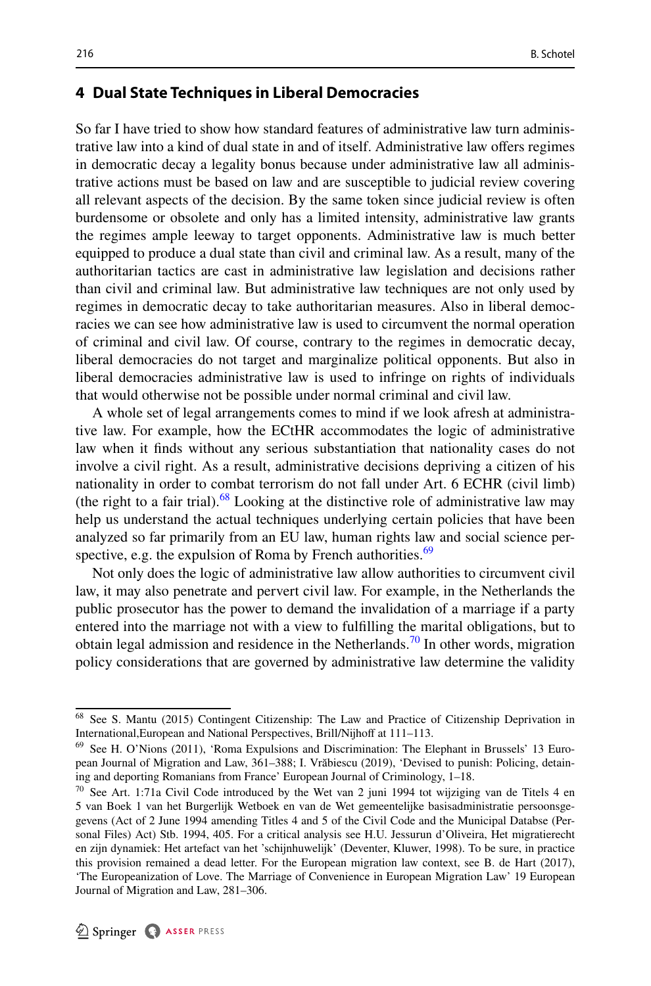### <span id="page-22-0"></span>**4 Dual State Techniques in Liberal Democracies**

So far I have tried to show how standard features of administrative law turn administrative law into a kind of dual state in and of itself. Administrative law ofers regimes in democratic decay a legality bonus because under administrative law all administrative actions must be based on law and are susceptible to judicial review covering all relevant aspects of the decision. By the same token since judicial review is often burdensome or obsolete and only has a limited intensity, administrative law grants the regimes ample leeway to target opponents. Administrative law is much better equipped to produce a dual state than civil and criminal law. As a result, many of the authoritarian tactics are cast in administrative law legislation and decisions rather than civil and criminal law. But administrative law techniques are not only used by regimes in democratic decay to take authoritarian measures. Also in liberal democracies we can see how administrative law is used to circumvent the normal operation of criminal and civil law. Of course, contrary to the regimes in democratic decay, liberal democracies do not target and marginalize political opponents. But also in liberal democracies administrative law is used to infringe on rights of individuals that would otherwise not be possible under normal criminal and civil law.

A whole set of legal arrangements comes to mind if we look afresh at administrative law. For example, how the ECtHR accommodates the logic of administrative law when it fnds without any serious substantiation that nationality cases do not involve a civil right. As a result, administrative decisions depriving a citizen of his nationality in order to combat terrorism do not fall under Art. 6 ECHR (civil limb) (the right to a fair trial). $68$  Looking at the distinctive role of administrative law may help us understand the actual techniques underlying certain policies that have been analyzed so far primarily from an EU law, human rights law and social science per-spective, e.g. the expulsion of Roma by French authorities.<sup>[69](#page-22-2)</sup>

Not only does the logic of administrative law allow authorities to circumvent civil law, it may also penetrate and pervert civil law. For example, in the Netherlands the public prosecutor has the power to demand the invalidation of a marriage if a party entered into the marriage not with a view to fulflling the marital obligations, but to obtain legal admission and residence in the Netherlands.<sup>70</sup> In other words, migration policy considerations that are governed by administrative law determine the validity

<span id="page-22-1"></span><sup>68</sup> See S. Mantu (2015) Contingent Citizenship: The Law and Practice of Citizenship Deprivation in International, European and National Perspectives, Brill/Nijhoff at 111-113.

<span id="page-22-2"></span><sup>69</sup> See H. O'Nions (2011), 'Roma Expulsions and Discrimination: The Elephant in Brussels' 13 European Journal of Migration and Law, 361–388; I. Vrăbiescu (2019), 'Devised to punish: Policing, detaining and deporting Romanians from France' European Journal of Criminology, 1–18.

<span id="page-22-3"></span> $70$  See Art. 1:71a Civil Code introduced by the Wet van 2 juni 1994 tot wijziging van de Titels 4 en 5 van Boek 1 van het Burgerlijk Wetboek en van de Wet gemeentelijke basisadministratie persoonsgegevens (Act of 2 June 1994 amending Titles 4 and 5 of the Civil Code and the Municipal Databse (Personal Files) Act) Stb. 1994, 405. For a critical analysis see H.U. Jessurun d'Oliveira, Het migratierecht en zijn dynamiek: Het artefact van het 'schijnhuwelijk' (Deventer, Kluwer, 1998). To be sure, in practice this provision remained a dead letter. For the European migration law context, see B. de Hart (2017), 'The Europeanization of Love. The Marriage of Convenience in European Migration Law' 19 European Journal of Migration and Law, 281–306.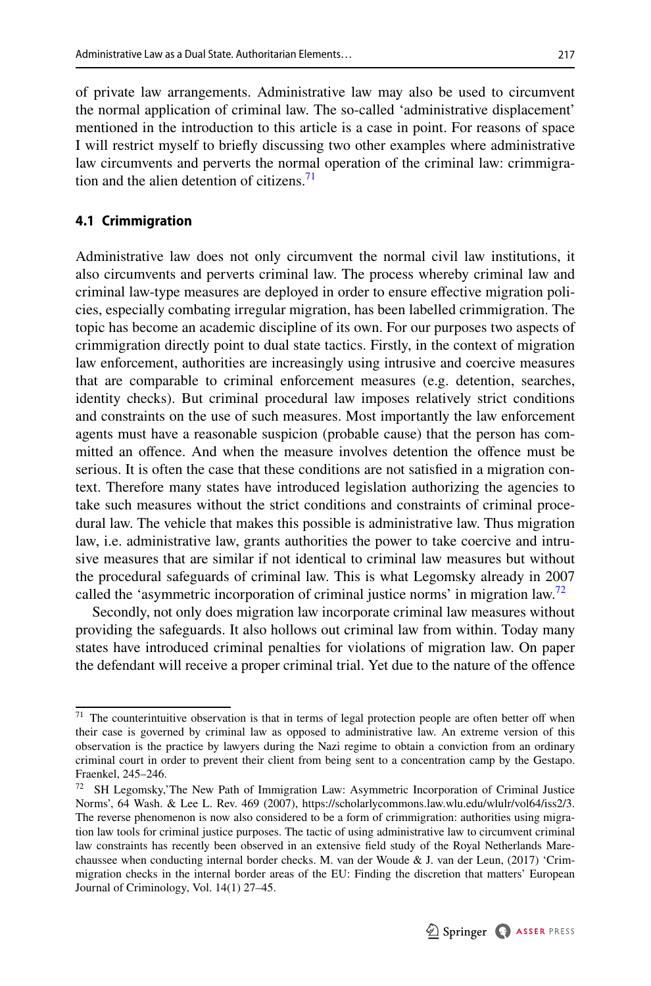of private law arrangements. Administrative law may also be used to circumvent the normal application of criminal law. The so-called 'administrative displacement' mentioned in the introduction to this article is a case in point. For reasons of space I will restrict myself to briefy discussing two other examples where administrative law circumvents and perverts the normal operation of the criminal law: crimmigration and the alien detention of citizens.<sup>71</sup>

#### **4.1 Crimmigration**

Administrative law does not only circumvent the normal civil law institutions, it also circumvents and perverts criminal law. The process whereby criminal law and criminal law-type measures are deployed in order to ensure efective migration policies, especially combating irregular migration, has been labelled crimmigration. The topic has become an academic discipline of its own. For our purposes two aspects of crimmigration directly point to dual state tactics. Firstly, in the context of migration law enforcement, authorities are increasingly using intrusive and coercive measures that are comparable to criminal enforcement measures (e.g. detention, searches, identity checks). But criminal procedural law imposes relatively strict conditions and constraints on the use of such measures. Most importantly the law enforcement agents must have a reasonable suspicion (probable cause) that the person has committed an ofence. And when the measure involves detention the ofence must be serious. It is often the case that these conditions are not satisfed in a migration context. Therefore many states have introduced legislation authorizing the agencies to take such measures without the strict conditions and constraints of criminal procedural law. The vehicle that makes this possible is administrative law. Thus migration law, i.e. administrative law, grants authorities the power to take coercive and intrusive measures that are similar if not identical to criminal law measures but without the procedural safeguards of criminal law. This is what Legomsky already in 2007 called the 'asymmetric incorporation of criminal justice norms' in migration law.<sup>72</sup>

Secondly, not only does migration law incorporate criminal law measures without providing the safeguards. It also hollows out criminal law from within. Today many states have introduced criminal penalties for violations of migration law. On paper the defendant will receive a proper criminal trial. Yet due to the nature of the ofence

<span id="page-23-0"></span> $71$  The counterintuitive observation is that in terms of legal protection people are often better off when their case is governed by criminal law as opposed to administrative law. An extreme version of this observation is the practice by lawyers during the Nazi regime to obtain a conviction from an ordinary criminal court in order to prevent their client from being sent to a concentration camp by the Gestapo. Fraenkel, 245–246.

<span id="page-23-1"></span> $72$  SH Legomsky, The New Path of Immigration Law: Asymmetric Incorporation of Criminal Justice Norms', 64 Wash. & Lee L. Rev. 469 (2007), https://scholarlycommons.law.wlu.edu/wlulr/vol64/iss2/3. The reverse phenomenon is now also considered to be a form of crimmigration: authorities using migration law tools for criminal justice purposes. The tactic of using administrative law to circumvent criminal law constraints has recently been observed in an extensive feld study of the Royal Netherlands Marechaussee when conducting internal border checks. M. van der Woude & J. van der Leun, (2017) 'Crimmigration checks in the internal border areas of the EU: Finding the discretion that matters' European Journal of Criminology, Vol. 14(1) 27–45.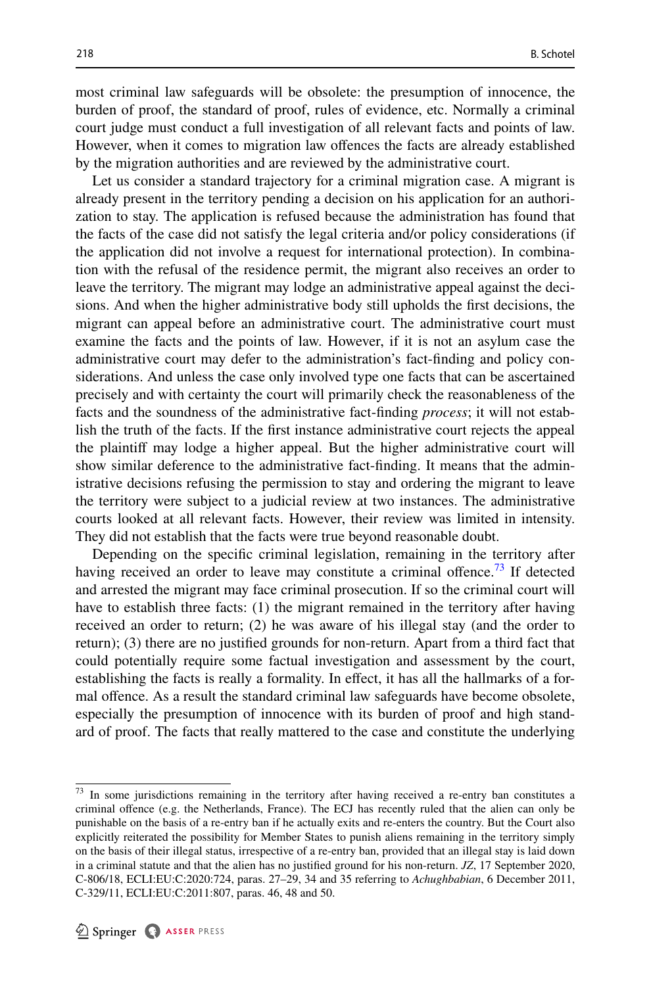most criminal law safeguards will be obsolete: the presumption of innocence, the burden of proof, the standard of proof, rules of evidence, etc. Normally a criminal court judge must conduct a full investigation of all relevant facts and points of law. However, when it comes to migration law ofences the facts are already established by the migration authorities and are reviewed by the administrative court.

Let us consider a standard trajectory for a criminal migration case. A migrant is already present in the territory pending a decision on his application for an authorization to stay. The application is refused because the administration has found that the facts of the case did not satisfy the legal criteria and/or policy considerations (if the application did not involve a request for international protection). In combination with the refusal of the residence permit, the migrant also receives an order to leave the territory. The migrant may lodge an administrative appeal against the decisions. And when the higher administrative body still upholds the frst decisions, the migrant can appeal before an administrative court. The administrative court must examine the facts and the points of law. However, if it is not an asylum case the administrative court may defer to the administration's fact-fnding and policy considerations. And unless the case only involved type one facts that can be ascertained precisely and with certainty the court will primarily check the reasonableness of the facts and the soundness of the administrative fact-fnding *process*; it will not establish the truth of the facts. If the frst instance administrative court rejects the appeal the plaintif may lodge a higher appeal. But the higher administrative court will show similar deference to the administrative fact-fnding. It means that the administrative decisions refusing the permission to stay and ordering the migrant to leave the territory were subject to a judicial review at two instances. The administrative courts looked at all relevant facts. However, their review was limited in intensity. They did not establish that the facts were true beyond reasonable doubt.

Depending on the specifc criminal legislation, remaining in the territory after having received an order to leave may constitute a criminal offence.<sup>73</sup> If detected and arrested the migrant may face criminal prosecution. If so the criminal court will have to establish three facts: (1) the migrant remained in the territory after having received an order to return; (2) he was aware of his illegal stay (and the order to return); (3) there are no justifed grounds for non-return. Apart from a third fact that could potentially require some factual investigation and assessment by the court, establishing the facts is really a formality. In efect, it has all the hallmarks of a formal ofence. As a result the standard criminal law safeguards have become obsolete, especially the presumption of innocence with its burden of proof and high standard of proof. The facts that really mattered to the case and constitute the underlying

<span id="page-24-0"></span> $73$  In some jurisdictions remaining in the territory after having received a re-entry ban constitutes a criminal ofence (e.g. the Netherlands, France). The ECJ has recently ruled that the alien can only be punishable on the basis of a re-entry ban if he actually exits and re-enters the country. But the Court also explicitly reiterated the possibility for Member States to punish aliens remaining in the territory simply on the basis of their illegal status, irrespective of a re-entry ban, provided that an illegal stay is laid down in a criminal statute and that the alien has no justifed ground for his non-return. *JZ*, 17 September 2020, C-806/18, ECLI:EU:C:2020:724, paras. 27–29, 34 and 35 referring to *Achughbabian*, 6 December 2011, C-329/11, ECLI:EU:C:2011:807, paras. 46, 48 and 50.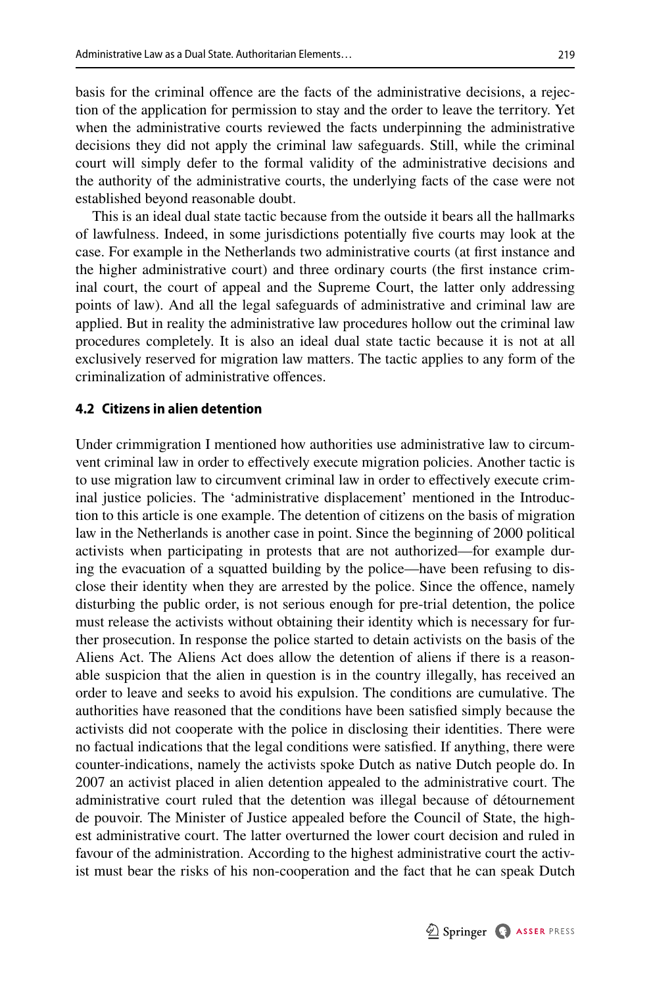basis for the criminal ofence are the facts of the administrative decisions, a rejection of the application for permission to stay and the order to leave the territory. Yet when the administrative courts reviewed the facts underpinning the administrative decisions they did not apply the criminal law safeguards. Still, while the criminal court will simply defer to the formal validity of the administrative decisions and the authority of the administrative courts, the underlying facts of the case were not established beyond reasonable doubt.

This is an ideal dual state tactic because from the outside it bears all the hallmarks of lawfulness. Indeed, in some jurisdictions potentially fve courts may look at the case. For example in the Netherlands two administrative courts (at frst instance and the higher administrative court) and three ordinary courts (the frst instance criminal court, the court of appeal and the Supreme Court, the latter only addressing points of law). And all the legal safeguards of administrative and criminal law are applied. But in reality the administrative law procedures hollow out the criminal law procedures completely. It is also an ideal dual state tactic because it is not at all exclusively reserved for migration law matters. The tactic applies to any form of the criminalization of administrative ofences.

### **4.2 Citizens in alien detention**

Under crimmigration I mentioned how authorities use administrative law to circumvent criminal law in order to efectively execute migration policies. Another tactic is to use migration law to circumvent criminal law in order to efectively execute criminal justice policies. The 'administrative displacement' mentioned in the Introduction to this article is one example. The detention of citizens on the basis of migration law in the Netherlands is another case in point. Since the beginning of 2000 political activists when participating in protests that are not authorized—for example during the evacuation of a squatted building by the police—have been refusing to disclose their identity when they are arrested by the police. Since the ofence, namely disturbing the public order, is not serious enough for pre-trial detention, the police must release the activists without obtaining their identity which is necessary for further prosecution. In response the police started to detain activists on the basis of the Aliens Act. The Aliens Act does allow the detention of aliens if there is a reasonable suspicion that the alien in question is in the country illegally, has received an order to leave and seeks to avoid his expulsion. The conditions are cumulative. The authorities have reasoned that the conditions have been satisfed simply because the activists did not cooperate with the police in disclosing their identities. There were no factual indications that the legal conditions were satisfed. If anything, there were counter-indications, namely the activists spoke Dutch as native Dutch people do. In 2007 an activist placed in alien detention appealed to the administrative court. The administrative court ruled that the detention was illegal because of détournement de pouvoir. The Minister of Justice appealed before the Council of State, the highest administrative court. The latter overturned the lower court decision and ruled in favour of the administration. According to the highest administrative court the activist must bear the risks of his non-cooperation and the fact that he can speak Dutch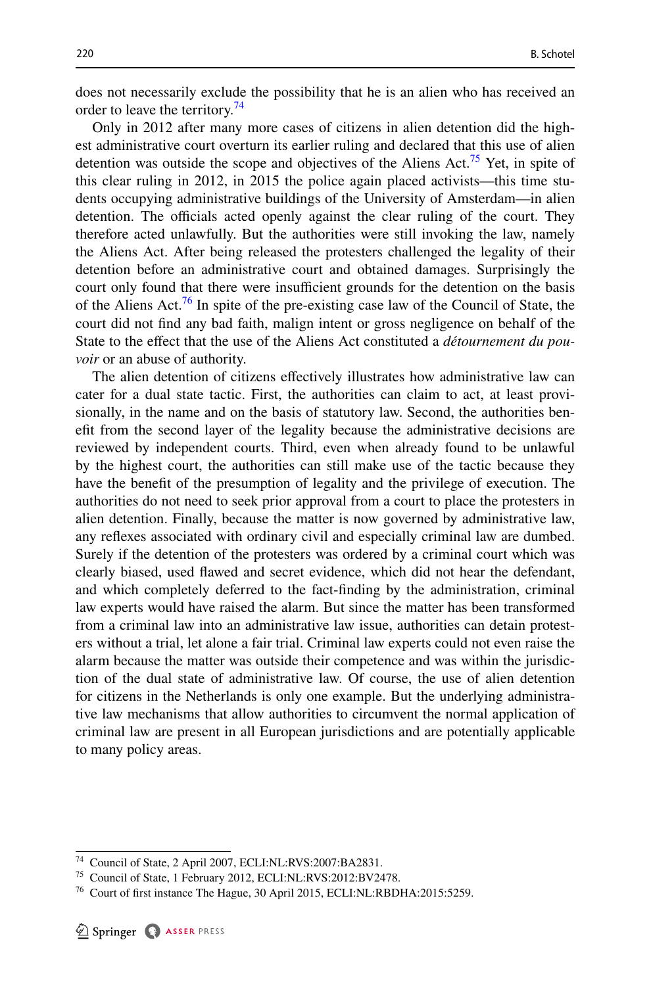does not necessarily exclude the possibility that he is an alien who has received an order to leave the territory.<sup>[74](#page-26-0)</sup>

Only in 2012 after many more cases of citizens in alien detention did the highest administrative court overturn its earlier ruling and declared that this use of alien detention was outside the scope and objectives of the Aliens Act.<sup>[75](#page-26-1)</sup> Yet, in spite of this clear ruling in 2012, in 2015 the police again placed activists—this time students occupying administrative buildings of the University of Amsterdam—in alien detention. The officials acted openly against the clear ruling of the court. They therefore acted unlawfully. But the authorities were still invoking the law, namely the Aliens Act. After being released the protesters challenged the legality of their detention before an administrative court and obtained damages. Surprisingly the court only found that there were insufficient grounds for the detention on the basis of the Aliens Act.[76](#page-26-2) In spite of the pre-existing case law of the Council of State, the court did not fnd any bad faith, malign intent or gross negligence on behalf of the State to the efect that the use of the Aliens Act constituted a *détournement du pouvoir* or an abuse of authority.

The alien detention of citizens efectively illustrates how administrative law can cater for a dual state tactic. First, the authorities can claim to act, at least provisionally, in the name and on the basis of statutory law. Second, the authorities beneft from the second layer of the legality because the administrative decisions are reviewed by independent courts. Third, even when already found to be unlawful by the highest court, the authorities can still make use of the tactic because they have the beneft of the presumption of legality and the privilege of execution. The authorities do not need to seek prior approval from a court to place the protesters in alien detention. Finally, because the matter is now governed by administrative law, any refexes associated with ordinary civil and especially criminal law are dumbed. Surely if the detention of the protesters was ordered by a criminal court which was clearly biased, used fawed and secret evidence, which did not hear the defendant, and which completely deferred to the fact-fnding by the administration, criminal law experts would have raised the alarm. But since the matter has been transformed from a criminal law into an administrative law issue, authorities can detain protesters without a trial, let alone a fair trial. Criminal law experts could not even raise the alarm because the matter was outside their competence and was within the jurisdiction of the dual state of administrative law. Of course, the use of alien detention for citizens in the Netherlands is only one example. But the underlying administrative law mechanisms that allow authorities to circumvent the normal application of criminal law are present in all European jurisdictions and are potentially applicable to many policy areas.

<span id="page-26-0"></span><sup>74</sup> Council of State, 2 April 2007, ECLI:NL:RVS:2007:BA2831.

<span id="page-26-1"></span><sup>75</sup> Council of State, 1 February 2012, ECLI:NL:RVS:2012:BV2478.

<span id="page-26-2"></span><sup>&</sup>lt;sup>76</sup> Court of first instance The Hague, 30 April 2015, ECLI:NL:RBDHA:2015:5259.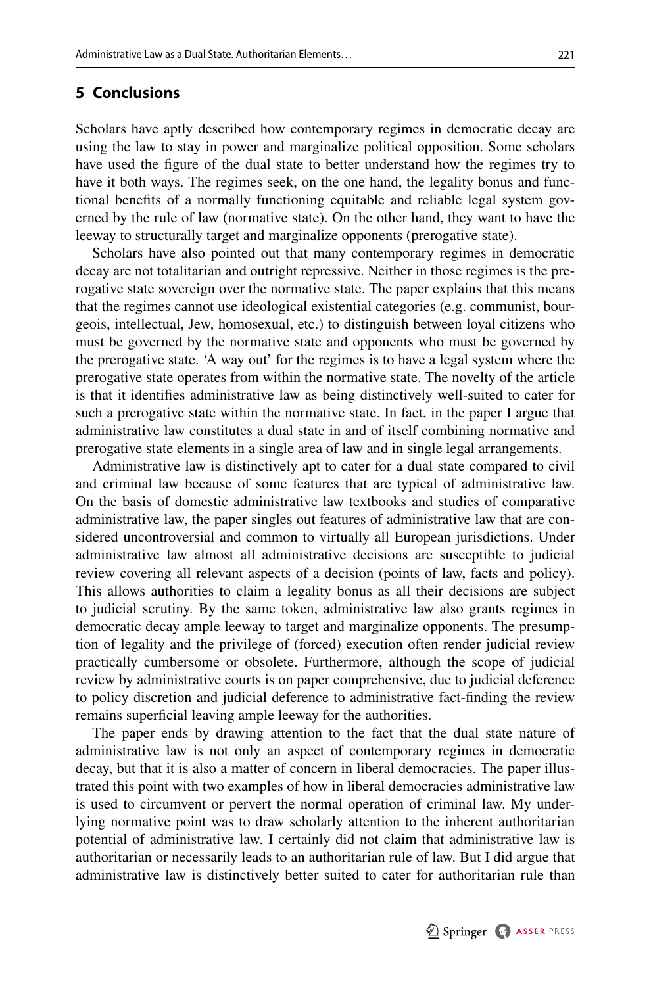## **5 Conclusions**

Scholars have aptly described how contemporary regimes in democratic decay are using the law to stay in power and marginalize political opposition. Some scholars have used the fgure of the dual state to better understand how the regimes try to have it both ways. The regimes seek, on the one hand, the legality bonus and functional benefts of a normally functioning equitable and reliable legal system governed by the rule of law (normative state). On the other hand, they want to have the leeway to structurally target and marginalize opponents (prerogative state).

Scholars have also pointed out that many contemporary regimes in democratic decay are not totalitarian and outright repressive. Neither in those regimes is the prerogative state sovereign over the normative state. The paper explains that this means that the regimes cannot use ideological existential categories (e.g. communist, bourgeois, intellectual, Jew, homosexual, etc.) to distinguish between loyal citizens who must be governed by the normative state and opponents who must be governed by the prerogative state. 'A way out' for the regimes is to have a legal system where the prerogative state operates from within the normative state. The novelty of the article is that it identifes administrative law as being distinctively well-suited to cater for such a prerogative state within the normative state. In fact, in the paper I argue that administrative law constitutes a dual state in and of itself combining normative and prerogative state elements in a single area of law and in single legal arrangements.

Administrative law is distinctively apt to cater for a dual state compared to civil and criminal law because of some features that are typical of administrative law. On the basis of domestic administrative law textbooks and studies of comparative administrative law, the paper singles out features of administrative law that are considered uncontroversial and common to virtually all European jurisdictions. Under administrative law almost all administrative decisions are susceptible to judicial review covering all relevant aspects of a decision (points of law, facts and policy). This allows authorities to claim a legality bonus as all their decisions are subject to judicial scrutiny. By the same token, administrative law also grants regimes in democratic decay ample leeway to target and marginalize opponents. The presumption of legality and the privilege of (forced) execution often render judicial review practically cumbersome or obsolete. Furthermore, although the scope of judicial review by administrative courts is on paper comprehensive, due to judicial deference to policy discretion and judicial deference to administrative fact-fnding the review remains superficial leaving ample leeway for the authorities.

The paper ends by drawing attention to the fact that the dual state nature of administrative law is not only an aspect of contemporary regimes in democratic decay, but that it is also a matter of concern in liberal democracies. The paper illustrated this point with two examples of how in liberal democracies administrative law is used to circumvent or pervert the normal operation of criminal law. My underlying normative point was to draw scholarly attention to the inherent authoritarian potential of administrative law. I certainly did not claim that administrative law is authoritarian or necessarily leads to an authoritarian rule of law. But I did argue that administrative law is distinctively better suited to cater for authoritarian rule than